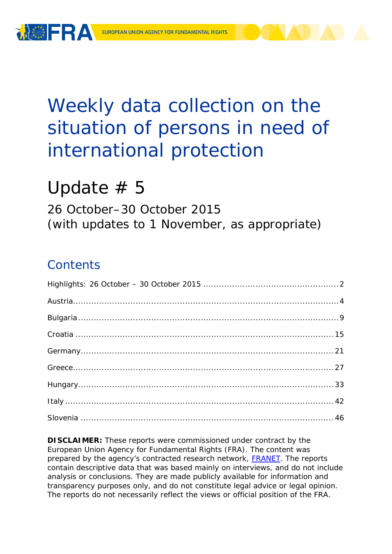

# Weekly data collection on the situation of persons in need of international protection

# Update  $# 5$

26 October–30 October 2015 (with updates to 1 November, as appropriate)

## **Contents**

**DISCLAIMER:** These reports were commissioned under contract by the European Union Agency for Fundamental Rights (FRA). The content was prepared by the agency's contracted research network, **FRANET**. The reports contain descriptive data that was based mainly on interviews, and do not include analysis or conclusions. They are made publicly available for information and transparency purposes only, and do not constitute legal advice or legal opinion. The reports do not necessarily reflect the views or official position of the FRA.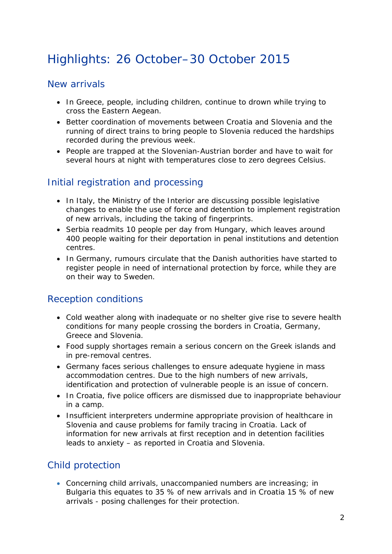## <span id="page-1-0"></span>Highlights: 26 October–30 October 2015

### New arrivals

- In Greece, people, including children, continue to drown while trying to cross the Eastern Aegean.
- Better coordination of movements between Croatia and Slovenia and the running of direct trains to bring people to Slovenia reduced the hardships recorded during the previous week.
- People are trapped at the Slovenian-Austrian border and have to wait for several hours at night with temperatures close to zero degrees Celsius.

## Initial registration and processing

- In Italy, the Ministry of the Interior are discussing possible legislative changes to enable the use of force and detention to implement registration of new arrivals, including the taking of fingerprints.
- Serbia readmits 10 people per day from Hungary, which leaves around 400 people waiting for their deportation in penal institutions and detention centres.
- In Germany, rumours circulate that the Danish authorities have started to register people in need of international protection by force, while they are on their way to Sweden.

### Reception conditions

- Cold weather along with inadequate or no shelter give rise to severe health conditions for many people crossing the borders in Croatia, Germany, Greece and Slovenia.
- Food supply shortages remain a serious concern on the Greek islands and in pre-removal centres.
- Germany faces serious challenges to ensure adequate hygiene in mass accommodation centres. Due to the high numbers of new arrivals, identification and protection of vulnerable people is an issue of concern.
- In Croatia, five police officers are dismissed due to inappropriate behaviour in a camp.
- Insufficient interpreters undermine appropriate provision of healthcare in Slovenia and cause problems for family tracing in Croatia. Lack of information for new arrivals at first reception and in detention facilities leads to anxiety – as reported in Croatia and Slovenia.

## Child protection

• Concerning child arrivals, unaccompanied numbers are increasing; in Bulgaria this equates to 35 % of new arrivals and in Croatia 15 % of new arrivals - posing challenges for their protection.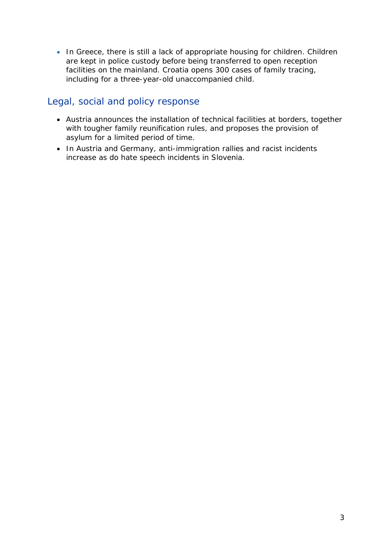• In Greece, there is still a lack of appropriate housing for children. Children are kept in police custody before being transferred to open reception facilities on the mainland. Croatia opens 300 cases of family tracing, including for a three-year-old unaccompanied child.

## Legal, social and policy response

- Austria announces the installation of technical facilities at borders, together with tougher family reunification rules, and proposes the provision of asylum for a limited period of time.
- <span id="page-2-0"></span>• In Austria and Germany, anti-immigration rallies and racist incidents increase as do hate speech incidents in Slovenia.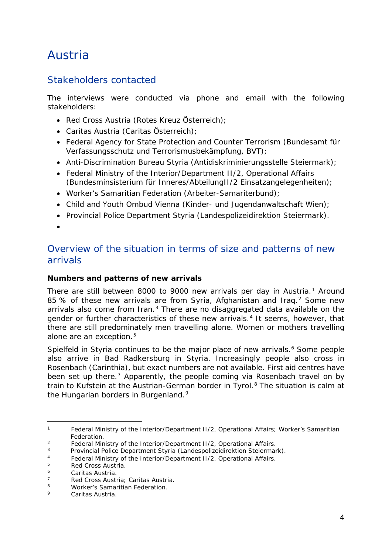## Austria

## Stakeholders contacted

The interviews were conducted via phone and email with the following stakeholders:

- Red Cross Austria (Rotes Kreuz Österreich);
- Caritas Austria (Caritas Österreich);
- Federal Agency for State Protection and Counter Terrorism (Bundesamt für Verfassungsschutz und Terrorismusbekämpfung, BVT);
- Anti-Discrimination Bureau Styria (Antidiskriminierungsstelle Steiermark);
- Federal Ministry of the Interior/Department II/2, Operational Affairs (Bundesminsisterium für Inneres/AbteilungII/2 Einsatzangelegenheiten);
- Worker's Samaritian Federation (Arbeiter-Samariterbund);
- Child and Youth Ombud Vienna (Kinder- und Jugendanwaltschaft Wien);
- Provincial Police Department Styria (Landespolizeidirektion Steiermark).
- •

## Overview of the situation in terms of size and patterns of new arrivals

#### **Numbers and patterns of new arrivals**

There are still between 8000 to 9000 new arrivals per day in Austria.<sup>[1](#page-3-0)</sup> Around 85 % of these new arrivals are from Syria, Afghanistan and Irag.<sup>[2](#page-3-1)</sup> Some new arrivals also come from Iran. $3$  There are no disaggregated data available on the gender or further characteristics of these new arrivals.<sup>[4](#page-3-3)</sup> It seems, however, that there are still predominately men travelling alone. Women or mothers travelling alone are an exception.<sup>[5](#page-3-4)</sup>

Spielfeld in Styria continues to be the major place of new arrivals.<sup>[6](#page-3-5)</sup> Some people also arrive in Bad Radkersburg in Styria. Increasingly people also cross in Rosenbach (Carinthia), but exact numbers are not available. First aid centres have been set up there.<sup>[7](#page-3-6)</sup> Apparently, the people coming via Rosenbach travel on by train to Kufstein at the Austrian-German border in Tyrol.<sup>[8](#page-3-7)</sup> The situation is calm at the Hungarian borders in Burgenland.<sup>[9](#page-3-8)</sup>

<span id="page-3-0"></span>Federal Ministry of the Interior/Department II/2, Operational Affairs; Worker's Samaritian Federation*.*  $\mathbf{1}$ 

<sup>&</sup>lt;sup>2</sup> Federal Ministry of the Interior/Department II/2, Operational Affairs.<br><sup>3</sup> Provincial Police Department Styria *(Landespolizeidirektion Stejerman)* 

<span id="page-3-2"></span><span id="page-3-1"></span><sup>3</sup> Provincial Police Department Styria *(Landespolizeidirektion Steiermark).*

<span id="page-3-3"></span><sup>&</sup>lt;sup>4</sup> Federal Ministry of the Interior/Department II/2, Operational Affairs.

<span id="page-3-4"></span> $5$  Red Cross Austria.

<span id="page-3-5"></span><sup>6</sup> Caritas Austria*.* 

<span id="page-3-6"></span><sup>7</sup> Red Cross Austria; Caritas Austria*.*

<span id="page-3-7"></span><sup>8</sup> Worker's Samaritian Federation*.*

<span id="page-3-8"></span><sup>9</sup> Caritas Austria*.*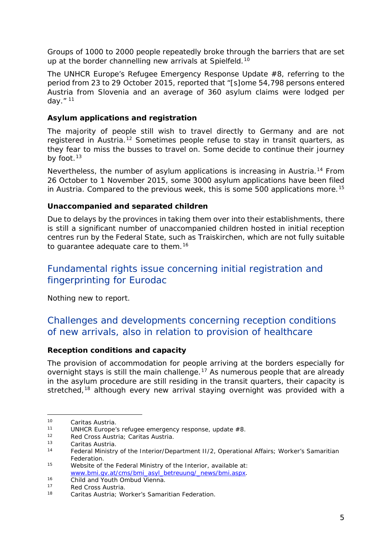<span id="page-4-3"></span>Groups of 1000 to 2000 people repeatedly broke through the barriers that are set up at the border channelling new arrivals at Spielfeld.<sup>[10](#page-4-0)</sup>

The UNHCR Europe's Refugee Emergency Response Update #8, referring to the period from 23 to 29 October 2015, reported that "[s]ome 54,798 persons entered Austria from Slovenia and an average of 360 asylum claims were lodged per day." [11](#page-4-1)

#### **Asylum applications and registration**

The majority of people still wish to travel directly to Germany and are not registered in Austria.<sup>[12](#page-4-2)</sup> Sometimes people refuse to stay in transit quarters, as they fear to miss the busses to travel on. Some decide to continue their journey by foot. $13$ 

Nevertheless, the number of asylum applications is increasing in Austria.<sup>[14](#page-4-4)</sup> From 26 October to 1 November 2015, some 3000 asylum applications have been filed in Austria. Compared to the previous week, this is some 500 applications more.<sup>[15](#page-4-3)</sup>

#### **Unaccompanied and separated children**

Due to delays by the provinces in taking them over into their establishments, there is still a significant number of unaccompanied children hosted in initial reception centres run by the Federal State, such as Traiskirchen, which are not fully suitable to guarantee adequate care to them.<sup>16</sup>

## Fundamental rights issue concerning initial registration and fingerprinting for Eurodac

Nothing new to report.

## Challenges and developments concerning reception conditions of new arrivals, also in relation to provision of healthcare

#### **Reception conditions and capacity**

The provision of accommodation for people arriving at the borders especially for overnight stays is still the main challenge.<sup>[17](#page-4-6)</sup> As numerous people that are already in the asylum procedure are still residing in the transit quarters, their capacity is stretched,<sup>[18](#page-4-3)</sup> although every new arrival staying overnight was provided with a

<span id="page-4-0"></span><sup>10</sup> Caritas Austria*.*  $10<sup>1</sup>$ 

<span id="page-4-1"></span><sup>11</sup> UNHCR Europe's refugee emergency response, update #8.<br>12 Red Cross Austria: Caritas Austria

<span id="page-4-2"></span><sup>12</sup> Red Cross Austria; Caritas Austria*.*

<sup>13</sup> Caritas Austria*.* 

<span id="page-4-4"></span>Federal Ministry of the Interior/Department II/2, Operational Affairs; Worker's Samaritian Federation*.*

<sup>15</sup> Website of the Federal Ministry of the Interior, available at: [www.bmi.gv.at/cms/bmi\\_asyl\\_betreuung/\\_news/bmi.aspx.](http://www.bmi.gv.at/cms/bmi_asyl_betreuung/_news/bmi.aspx)

<span id="page-4-5"></span><sup>16</sup> Child and Youth Ombud Vienna*.*

<span id="page-4-6"></span><sup>17</sup> Red Cross Austria.<br>18 Caritas Austria: W

<sup>18</sup> Caritas Austria*;* Worker's Samaritian Federation*.*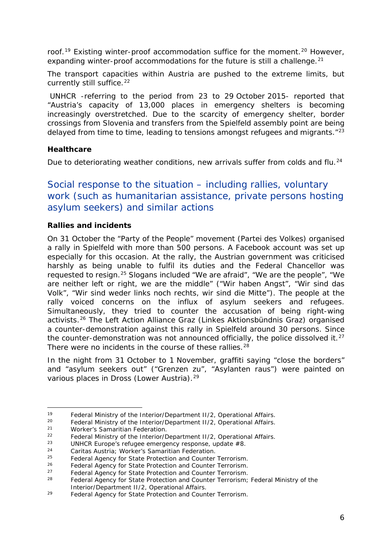<span id="page-5-7"></span>roof.<sup>[19](#page-5-0)</sup> Existing winter-proof accommodation suffice for the moment.<sup>[20](#page-5-1)</sup> However, expanding winter-proof accommodations for the future is still a challenge.<sup>[21](#page-5-2)</sup>

The transport capacities within Austria are pushed to the extreme limits, but currently still suffice.<sup>[22](#page-5-3)</sup>

UNHCR -referring to the period from 23 to 29 October 2015- reported that "*Austria's capacity of 13,000 places in emergency shelters is becoming increasingly overstretched. Due to the scarcity of emergency shelter, border crossings from Slovenia and transfers from the Spielfeld assembly point are being delayed from time to time, leading to tensions amongst refugees and migrants*.["23](#page-5-4)

#### **Healthcare**

Due to deteriorating weather conditions, new arrivals suffer from colds and flu.<sup>[24](#page-5-5)</sup>

## Social response to the situation – including rallies, voluntary work (such as humanitarian assistance, private persons hosting asylum seekers) and similar actions

#### **Rallies and incidents**

On 31 October the "Party of the People" movement *(Partei des Volkes)* organised a rally in Spielfeld with more than 500 persons. A Facebook account was set up especially for this occasion. At the rally, the Austrian government was criticised harshly as being unable to fulfil its duties and the Federal Chancellor was requested to resign.[25](#page-5-6) Slogans included "We are afraid", "We are the people", "We are neither left or right, we are the middle" *("Wir haben Angst", "Wir sind das Volk", "Wir sind weder links noch rechts, wir sind die Mitte").* The people at the rally voiced concerns on the influx of asylum seekers and refugees. Simultaneously, they tried to counter the accusation of being right-wing activists.[26](#page-5-7) The Left Action Alliance Graz *(Linkes Aktionsbündnis Graz)* organised a counter-demonstration against this rally in Spielfeld around 30 persons. Since the counter-demonstration was not announced officially, the police dissolved it. $^{27}$  $^{27}$  $^{27}$ There were no incidents in the course of these rallies.<sup>[28](#page-5-7)</sup>

In the night from 31 October to 1 November, graffiti saying "close the borders" and "asylum seekers out" *("Grenzen zu", "Asylanten raus")* were painted on various places in Dross (Lower Austria).<sup>[29](#page-5-8)</sup>

<span id="page-5-0"></span><sup>&</sup>lt;sup>19</sup> Federal Ministry of the Interior/Department II/2, Operational Affairs.<br><sup>20</sup> Eaderal Ministry of the Interior/Department II/2, Operational Affaire. 19

<span id="page-5-1"></span><sup>&</sup>lt;sup>20</sup> Federal Ministry of the Interior/Department II/2, Operational Affairs.<br>21 Merker's Semaritian Ecderation

<span id="page-5-2"></span><sup>21</sup> Worker's Samaritian Federation*.*

<span id="page-5-3"></span><sup>&</sup>lt;sup>22</sup> Federal Ministry of the Interior/Department II/2, Operational Affairs.

<span id="page-5-4"></span><sup>&</sup>lt;sup>23</sup> UNHCR Europe's refugee emergency response, update  $#8$ .

<span id="page-5-5"></span><sup>24</sup> Caritas Austria*;* Worker's Samaritian Federation*.*

<span id="page-5-6"></span><sup>25</sup> Federal Agency for State Protection and Counter Terrorism*.*

<sup>26</sup> Federal Agency for State Protection and Counter Terrorism*.*

<sup>27</sup> Federal Agency for State Protection and Counter Terrorism*.*

<sup>28</sup> Federal Agency for State Protection and Counter Terrorism*;* Federal Ministry of the Interior/Department II/2, Operational Affairs.

<span id="page-5-8"></span><sup>29</sup> Federal Agency for State Protection and Counter Terrorism*.*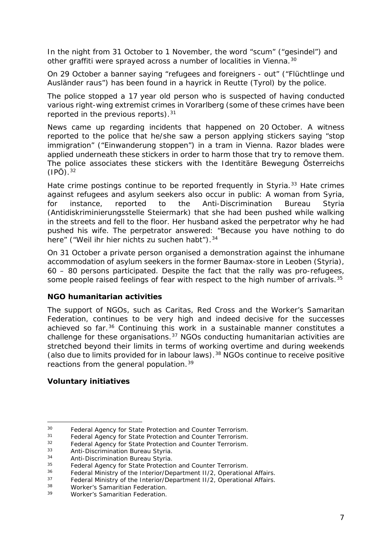<span id="page-6-4"></span>In the night from 31 October to 1 November, the word "scum" ("*gesindel*") and other graffiti were sprayed across a number of localities in Vienna.<sup>[30](#page-6-0)</sup>

On 29 October a banner saying "refugees and foreigners - out" ("*Flüchtlinge und Ausländer raus*") has been found in a hayrick in Reutte (Tyrol) by the police.

The police stopped a 17 year old person who is suspected of having conducted various right-wing extremist crimes in Vorarlberg (some of these crimes have been reported in the previous reports).<sup>[31](#page-6-1)</sup>

News came up regarding incidents that happened on 20 October. A witness reported to the police that he/she saw a person applying stickers saying "stop immigration" *("Einwanderung stoppen")* in a tram in Vienna. Razor blades were applied underneath these stickers in order to harm those that try to remove them. The police associates these stickers with the *Identitäre Bewegung Österreichs (IPÖ)*[.32](#page-6-2)

Hate crime postings continue to be reported frequently in Styria.<sup>[33](#page-6-3)</sup> Hate crimes against refugees and asylum seekers also occur in public: A woman from Syria, for instance, reported to the Anti-Discrimination Bureau Styria *(Antidiskriminierungsstelle Steiermark)* that she had been pushed while walking in the streets and fell to the floor. Her husband asked the perpetrator why he had pushed his wife. The perpetrator answered: "Because you have nothing to do here" *("Weil ihr hier nichts zu suchen habt")*.[34](#page-6-4)

On 31 October a private person organised a demonstration against the inhumane accommodation of asylum seekers in the former Baumax-store in Leoben (Styria), 60 – 80 persons participated. Despite the fact that the rally was pro-refugees, some people raised feelings of fear with respect to the high number of arrivals.<sup>[35](#page-6-5)</sup>

#### **NGO humanitarian activities**

The support of NGOs, such as Caritas, Red Cross and the Worker's Samaritan Federation, continues to be very high and indeed decisive for the successes achieved so far.<sup>[36](#page-6-6)</sup> Continuing this work in a sustainable manner constitutes a challenge for these organisations.[37](#page-6-4) NGOs conducting humanitarian activities are stretched beyond their limits in terms of working overtime and during weekends (also due to limits provided for in labour laws).[38](#page-6-4) NGOs continue to receive positive reactions from the general population.<sup>[39](#page-6-4)</sup>

#### **Voluntary initiatives**

<span id="page-6-0"></span><sup>30</sup> Federal Agency for State Protection and Counter Terrorism*.*  $30^{\circ}$ 

<span id="page-6-1"></span><sup>31</sup> Federal Agency for State Protection and Counter Terrorism*.*

<span id="page-6-2"></span><sup>32</sup> Federal Agency for State Protection and Counter Terrorism*.*

<span id="page-6-3"></span><sup>33</sup> Anti-Discrimination Bureau Styria*.*

<sup>34</sup> Anti-Discrimination Bureau Styria*.*

<span id="page-6-5"></span><sup>&</sup>lt;sup>35</sup> Federal Agency for State Protection and Counter Terrorism.<br><sup>36</sup> Eoderal Ministry of the Interior/Department U.2, Operationa

<span id="page-6-6"></span><sup>&</sup>lt;sup>36</sup> Federal Ministry of the Interior/Department II/2, Operational Affairs.<br><sup>37</sup> Eoderal Ministry of the Interior/Department II/2, Operational Affairs.

<sup>&</sup>lt;sup>37</sup> Federal Ministry of the Interior/Department II/2, Operational Affairs.<br><sup>38</sup> Merker's Samaritian Eoderation.

<sup>&</sup>lt;sup>38</sup> Worker's Samaritian Federation.<br><sup>39</sup> Worker's Samaritian Federation.

Worker's Samaritian Federation.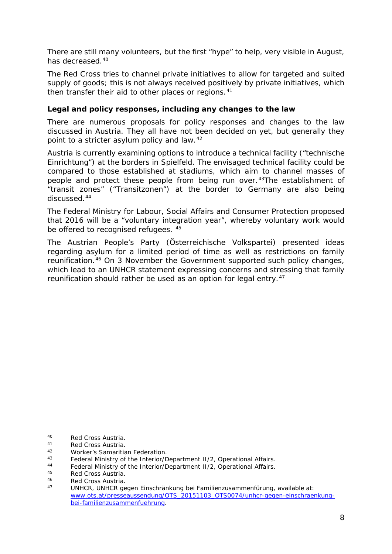<span id="page-7-4"></span>There are still many volunteers, but the first "hype" to help, very visible in August, has decreased.<sup>[40](#page-7-0)</sup>

The Red Cross tries to channel private initiatives to allow for targeted and suited supply of goods; this is not always received positively by private initiatives, which then transfer their aid to other places or regions.<sup>[41](#page-7-1)</sup>

#### **Legal and policy responses, including any changes to the law**

There are numerous proposals for policy responses and changes to the law discussed in Austria. They all have not been decided on yet, but generally they point to a stricter asylum policy and law.<sup>[42](#page-7-2)</sup>

Austria is currently examining options to introduce a technical facility *("technische Einrichtung")* at the borders in Spielfeld. The envisaged technical facility could be compared to those established at stadiums, which aim to channel masses of people and protect these people from being run over.<sup>43</sup>The establishment of "transit zones" *("Transitzonen")* at the border to Germany are also being discussed.<sup>[44](#page-7-4)</sup>

The Federal Ministry for Labour, Social Affairs and Consumer Protection proposed that 2016 will be a "voluntary integration year", whereby voluntary work would be offered to recognised refugees. [45](#page-7-5)

The Austrian People's Party *(Österreichische Volkspartei)* presented ideas regarding asylum for a limited period of time as well as restrictions on family reunification.[46](#page-7-6) On 3 November the Government supported such policy changes, which lead to an UNHCR statement expressing concerns and stressing that family reunification should rather be used as an option for legal entry.<sup>[47](#page-7-4)</sup>

<span id="page-7-0"></span><sup>40</sup> Red Cross Austria.<br>41 Red Cross Austria.  $40$ 

<span id="page-7-1"></span><sup>&</sup>lt;sup>41</sup> Red Cross Austria.<br><sup>42</sup> Merker's Samaritie

<span id="page-7-2"></span><sup>42</sup> Worker's Samaritian Federation.<br>43 Eodoral Ministry of the Interior (F

<span id="page-7-3"></span><sup>43</sup> Federal Ministry of the Interior/Department II/2, Operational Affairs.<br>44 Federal Ministry of the Interior/Department II/2, Operational Affaire.

<sup>44</sup> Federal Ministry of the Interior/Department II/2, Operational Affairs.<br>45 Ded Cross Austria

<span id="page-7-5"></span><sup>45</sup> Red Cross Austria.<br>46 Red Cross Austria.

<span id="page-7-6"></span><sup>46</sup> Red Cross Austria.

<sup>47</sup> UNHCR, *UNHCR gegen Einschränkung bei Familienzusammenfürung*, available at: [www.ots.at/presseaussendung/OTS\\_20151103\\_OTS0074/unhcr-gegen-einschraenkung](http://www.ots.at/presseaussendung/OTS_20151103_OTS0074/unhcr-gegen-einschraenkung-bei-familienzusammenfuehrung)[bei-familienzusammenfuehrung.](http://www.ots.at/presseaussendung/OTS_20151103_OTS0074/unhcr-gegen-einschraenkung-bei-familienzusammenfuehrung)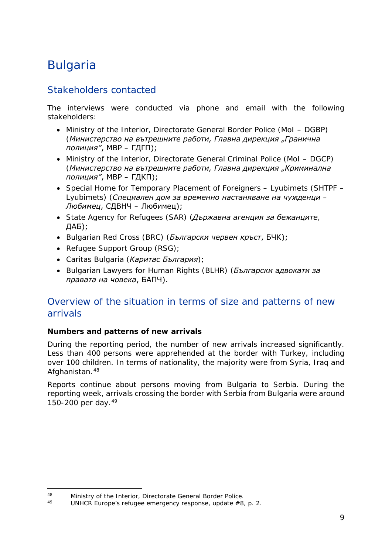## <span id="page-8-0"></span>Bulgaria

## Stakeholders contacted

The interviews were conducted via phone and email with the following stakeholders:

- Ministry of the Interior, Directorate General Border Police (MoI DGBP) (*Министерство на вътрешните работи, Главна дирекция "Гранична полиция"*, МВР – ГДГП);
- Ministry of the Interior, Directorate General Criminal Police (MoI DGCP) (*Министерство на вътрешните работи, Главна дирекция "Криминална полиция"*, МВР – ГДКП);
- Special Home for Temporary Placement of Foreigners Lyubimets (SHTPF Lyubimets) (*Специален дом за временно настаняване на чужденци – Любимец*, СДВНЧ – Любимец);
- State Agency for Refugees (SAR) (*Държавна агенция за бежанците*, ДАБ);
- Bulgarian Red Cross (BRC) (*Български червен кръст*, БЧК);
- Refugee Support Group (RSG);
- Caritas Bulgaria (*Каритас България*);
- Bulgarian Lawyers for Human Rights (BLHR) (*Български адвокати за правата на човека*, БАПЧ).

## Overview of the situation in terms of size and patterns of new arrivals

#### **Numbers and patterns of new arrivals**

During the reporting period, the number of new arrivals increased significantly. Less than 400 persons were apprehended at the border with Turkey, including over 100 children. In terms of nationality, the majority were from Syria, Iraq and Afghanistan.<sup>[48](#page-8-1)</sup>

Reports continue about persons moving from Bulgaria to Serbia. During the reporting week, arrivals crossing the border with Serbia from Bulgaria were around 150-200 per day.[49](#page-8-2)

<span id="page-8-1"></span><sup>48</sup> Ministry of the Interior, Directorate General Border Police.<br>49 HIMICR Europe's refugee emergency responses undeta #0 48

<span id="page-8-2"></span>UNHCR Europe's refugee emergency response, update #8, p. 2.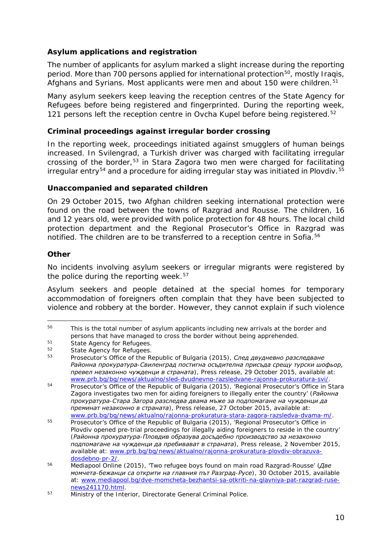#### <span id="page-9-1"></span>**Asylum applications and registration**

The number of applicants for asylum marked a slight increase during the reporting period. More than 700 persons applied for international protection<sup>50</sup>, mostly Iraqis, Afghans and Syrians. Most applicants were men and about 150 were children.<sup>[51](#page-9-1)</sup>

Many asylum seekers keep leaving the reception centres of the State Agency for Refugees before being registered and fingerprinted. During the reporting week, 121 persons left the reception centre in Ovcha Kupel before being registered.<sup>[52](#page-9-2)</sup>

#### **Criminal proceedings against irregular border crossing**

In the reporting week, proceedings initiated against smugglers of human beings increased. In Svilengrad, a Turkish driver was charged with facilitating irregular crossing of the border,[53](#page-9-3) in Stara Zagora two men were charged for facilitating  $i$ rregular entry<sup>[54](#page-9-1)</sup> and a procedure for aiding irregular stay was initiated in Plovdiv.<sup>[55](#page-9-1)</sup>

#### **Unaccompanied and separated children**

On 29 October 2015, two Afghan children seeking international protection were found on the road between the towns of Razgrad and Rousse. The children, 16 and 12 years old, were provided with police protection for 48 hours. The local child protection department and the Regional Prosecutor's Office in Razgrad was notified. The children are to be transferred to a reception centre in Sofia.<sup>[56](#page-9-4)</sup>

#### **Other**

No incidents involving asylum seekers or irregular migrants were registered by the police during the reporting week. $57$ 

Asylum seekers and people detained at the special homes for temporary accommodation of foreigners often complain that they have been subjected to violence and robbery at the border. However, they cannot explain if such violence

<span id="page-9-0"></span>This is the total number of asylum applicants including new arrivals at the border and persons that have managed to cross the border without being apprehended.<br>
51 State Agency for Refugees.<br>
52 State Agency for Refugees. 50

<span id="page-9-3"></span><span id="page-9-2"></span><sup>52</sup> State Agency for Refugees. 53 Prosecutor's Office of the Republic of Bulgaria (2015), *След двудневно разследване Районна прокуратура-Свиленград постигна осъдителна присъда срещу турски шофьор, превел незаконно чужденци в страната*)*,* Press release, 29 October 2015, available at: [www.prb.bg/bg/news/aktualno/sled-dvudnevno-razsledvane-rajonna-prokuratura-svi/.](http://www.prb.bg/bg/news/aktualno/sled-dvudnevno-razsledvane-rajonna-prokuratura-svi/)

<sup>&</sup>lt;sup>54</sup> Prosecutor's Office of the Republic of Bulgaria (2015), 'Regional Prosecutor's Office in Stara Zagora investigates two men for aiding foreigners to illegally enter the country' (*Районна прокуратура-Стара Загора разследва двама мъже за подпомагане на чужденци да преминат незаконно в страната*)*,* Press release, 27 October 2015, available at: [www.prb.bg/bg/news/aktualno/rajonna-prokuratura-stara-zagora-razsledva-dvama-m/.](http://www.prb.bg/bg/news/aktualno/rajonna-prokuratura-stara-zagora-razsledva-dvama-m/)

<sup>55</sup> Prosecutor's Office of the Republic of Bulgaria (2015), 'Regional Prosecutor's Office in Plovdiv opened pre-trial proceedings for illegally aiding foreigners to reside in the country' (*Районна прокуратура-Пловдив образува досъдебно производство за незаконно подпомагане на чужденци да пребивават в страната*)*,* Press release, 2 November 2015, available at: [www.prb.bg/bg/news/aktualno/rajonna-prokuratura-plovdiv-obrazuva](http://www.prb.bg/bg/news/aktualno/rajonna-prokuratura-plovdiv-obrazuva-dosdebno-pr-2/)[dosdebno-pr-2/.](http://www.prb.bg/bg/news/aktualno/rajonna-prokuratura-plovdiv-obrazuva-dosdebno-pr-2/)

<span id="page-9-4"></span><sup>56</sup> Mediapool Online (2015), 'Two refugee boys found on main road Razgrad-Rousse' (*Две момчета-бежанци са открити на главния път Разград-Русе*)*,* 30 October 2015, available at: [www.mediapool.bg/dve-momcheta-bezhantsi-sa-otkriti-na-glavniya-pat-razgrad-ruse](http://www.mediapool.bg/dve-momcheta-bezhantsi-sa-otkriti-na-glavniya-pat-razgrad-ruse-news241170.html)[news241170.html.](http://www.mediapool.bg/dve-momcheta-bezhantsi-sa-otkriti-na-glavniya-pat-razgrad-ruse-news241170.html)

<span id="page-9-5"></span><sup>&</sup>lt;sup>57</sup> Ministry of the Interior, Directorate General Criminal Police.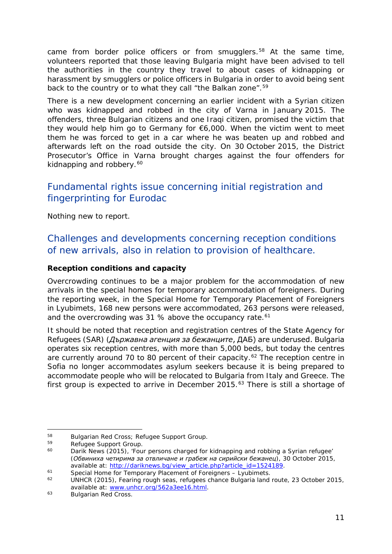<span id="page-10-5"></span>came from border police officers or from smugglers.<sup>[58](#page-10-0)</sup> At the same time, volunteers reported that those leaving Bulgaria might have been advised to tell the authorities in the country they travel to about cases of kidnapping or harassment by smugglers or police officers in Bulgaria in order to avoid being sent back to the country or to what they call "the Balkan zone".<sup>[59](#page-10-1)</sup>

There is a new development concerning an earlier incident with a Syrian citizen who was kidnapped and robbed in the city of Varna in January 2015. The offenders, three Bulgarian citizens and one Iraqi citizen, promised the victim that they would help him go to Germany for €6,000. When the victim went to meet them he was forced to get in a car where he was beaten up and robbed and afterwards left on the road outside the city. On 30 October 2015, the District Prosecutor's Office in Varna brought charges against the four offenders for kidnapping and robbery.<sup>[60](#page-10-2)</sup>

## Fundamental rights issue concerning initial registration and fingerprinting for Eurodac

Nothing new to report.

## Challenges and developments concerning reception conditions of new arrivals, also in relation to provision of healthcare.

#### **Reception conditions and capacity**

Overcrowding continues to be a major problem for the accommodation of new arrivals in the special homes for temporary accommodation of foreigners. During the reporting week, in the Special Home for Temporary Placement of Foreigners in Lyubimets, 168 new persons were accommodated, 263 persons were released, and the overcrowding was 31 % above the occupancy rate.<sup>[61](#page-10-3)</sup>

It should be noted that reception and registration centres of the State Agency for Refugees (SAR) (*Държавна агенция за бежанците*, ДАБ) are underused. Bulgaria operates six reception centres, with more than 5,000 beds, but today the centres are currently around 70 to 80 percent of their capacity.<sup>[62](#page-10-4)</sup> The reception centre in Sofia no longer accommodates asylum seekers because it is being prepared to accommodate people who will be relocated to Bulgaria from Italy and Greece. The first group is expected to arrive in December 2015. $63$  There is still a shortage of

<span id="page-10-0"></span><sup>&</sup>lt;sup>58</sup> Bulgarian Red Cross; Refugee Support Group.<br>59 Defugee Support Group. 58

<span id="page-10-2"></span><span id="page-10-1"></span> $^{59}$  Refugee Support Group.<br> $^{60}$  Darik Nows (2015) (Fou

Darik News (2015), 'Four persons charged for kidnapping and robbing a Syrian refugee' (*Обвиниха четирима за отвличане и грабеж на сирийски бежанец*)*,* 30 October 2015, available at: [http://dariknews.bg/view\\_article.php?article\\_id=1524189.](http://dariknews.bg/view_article.php?article_id=1524189)

<span id="page-10-4"></span><span id="page-10-3"></span> $^{61}$  Special Home for Temporary Placement of Foreigners – Lyubimets.<br> $^{62}$  HINHCB (2015), Forring rough sons, refugees chance Bulgaria land.

<sup>62</sup> UNHCR (2015), *Fearing rough seas, refugees chance Bulgaria land route*, 23 October 2015, available at: [www.unhcr.org/562a3ee16.html.](http://www.unhcr.org/562a3ee16.html)

<sup>63</sup> Bulgarian Red Cross.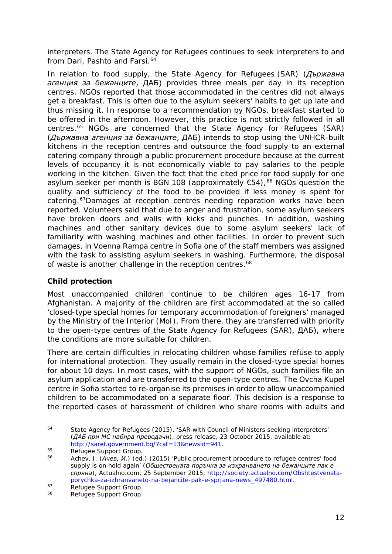<span id="page-11-2"></span>interpreters. The State Agency for Refugees continues to seek interpreters to and from Dari, Pashto and Farsi.<sup>[64](#page-11-0)</sup>

In relation to food supply, the State Agency for Refugees (SAR) (*Държавна агенция за бежанците*, ДАБ) provides three meals per day in its reception centres. NGOs reported that those accommodated in the centres did not always get a breakfast. This is often due to the asylum seekers' habits to get up late and thus missing it. In response to a recommendation by NGOs, breakfast started to be offered in the afternoon. However, this practice is not strictly followed in all centres.[65](#page-11-1) NGOs are concerned that the State Agency for Refugees (SAR) (*Държавна агенция за бежанците*, ДАБ) intends to stop using the UNHCR-built kitchens in the reception centres and outsource the food supply to an external catering company through a public procurement procedure because at the current levels of occupancy it is not economically viable to pay salaries to the people working in the kitchen. Given the fact that the cited price for food supply for one asylum seeker per month is BGN 108 (approximately  $€54$ ),<sup>[66](#page-11-2)</sup> NGOs question the quality and sufficiency of the food to be provided if less money is spent for catering.<sup>[67](#page-11-2)</sup>Damages at reception centres needing reparation works have been reported. Volunteers said that due to anger and frustration, some asylum seekers have broken doors and walls with kicks and punches. In addition, washing machines and other sanitary devices due to some asylum seekers' lack of familiarity with washing machines and other facilities. In order to prevent such damages, in Voenna Rampa centre in Sofia one of the staff members was assigned with the task to assisting asylum seekers in washing. Furthermore, the disposal of waste is another challenge in the reception centres.<sup>[68](#page-11-2)</sup>

#### **Child protection**

Most unaccompanied children continue to be children ages 16-17 from Afghanistan. A majority of the children are first accommodated at the so called 'closed-type special homes for temporary accommodation of foreigners' managed by the Ministry of the Interior (MoI). From there, they are transferred with priority to the open-type centres of the State Agency for Refugees (SAR), ДАБ), where the conditions are more suitable for children.

There are certain difficulties in relocating children whose families refuse to apply for international protection. They usually remain in the closed-type special homes for about 10 days. In most cases, with the support of NGOs, such families file an asylum application and are transferred to the open-type centres. The Ovcha Kupel centre in Sofia started to re-organise its premises in order to allow unaccompanied children to be accommodated on a separate floor. This decision is a response to the reported cases of harassment of children who share rooms with adults and

<span id="page-11-0"></span>State Agency for Refugees (2015), 'SAR with Council of Ministers seeking interpreters' (*ДАБ при МС набира преводачи*)*,* press release, 23 October 2015, available at: [http://saref.government.bg/?cat=13&newsid=941.](http://saref.government.bg/?cat=13&newsid=941)  $64$ 

<span id="page-11-1"></span><sup>&</sup>lt;sup>65</sup> Refugee Support Group.<br><sup>66</sup> Achov J. (Augus *M*.) (od.

<sup>66</sup> Achev, I. (*Ачев, И.*) (ed.) (2015) 'Public procurement procedure to refugee centres' food supply is on hold again' (*Обществената поръчка за изхранването на бежанците пак е спряна*), *Actualno.com,* 25 September 2015, [http://society.actualno.com/Obshtestvenata](http://society.actualno.com/Obshtestvenata-porychka-za-izhranvaneto-na-bejancite-pak-e-sprjana-news_497480.html)[porychka-za-izhranvaneto-na-bejancite-pak-e-sprjana-news\\_497480.html.](http://society.actualno.com/Obshtestvenata-porychka-za-izhranvaneto-na-bejancite-pak-e-sprjana-news_497480.html)

<sup>&</sup>lt;sup>67</sup> Refugee Support Group.<br><sup>68</sup> Petugee Support Croup.

Refugee Support Group.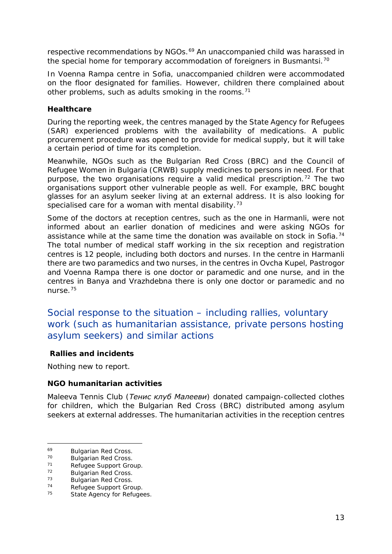<span id="page-12-4"></span>respective recommendations by NGOs.<sup>[69](#page-12-0)</sup> An unaccompanied child was harassed in the special home for temporary accommodation of foreigners in Busmantsi.<sup>[70](#page-12-1)</sup>

In Voenna Rampa centre in Sofia, unaccompanied children were accommodated on the floor designated for families. However, children there complained about other problems, such as adults smoking in the rooms.<sup>[71](#page-12-2)</sup>

#### **Healthcare**

During the reporting week, the centres managed by the State Agency for Refugees (SAR) experienced problems with the availability of medications. A public procurement procedure was opened to provide for medical supply, but it will take a certain period of time for its completion.

Meanwhile, NGOs such as the Bulgarian Red Cross (BRC) and the Council of Refugee Women in Bulgaria (CRWB) supply medicines to persons in need. For that purpose, the two organisations require a valid medical prescription.<sup>[72](#page-12-3)</sup> The two organisations support other vulnerable people as well. For example, BRC bought glasses for an asylum seeker living at an external address. It is also looking for specialised care for a woman with mental disability.<sup>[73](#page-12-4)</sup>

Some of the doctors at reception centres, such as the one in Harmanli, were not informed about an earlier donation of medicines and were asking NGOs for assistance while at the same time the donation was available on stock in Sofia.<sup>[74](#page-12-5)</sup> The total number of medical staff working in the six reception and registration centres is 12 people, including both doctors and nurses. In the centre in Harmanli there are two paramedics and two nurses, in the centres in Ovcha Kupel, Pastrogor and Voenna Rampa there is one doctor or paramedic and one nurse, and in the centres in Banya and Vrazhdebna there is only one doctor or paramedic and no nurse.[75](#page-12-4)

## Social response to the situation – including rallies, voluntary work (such as humanitarian assistance, private persons hosting asylum seekers) and similar actions

#### **Rallies and incidents**

Nothing new to report.

#### **NGO humanitarian activities**

Maleeva Tennis Club (*Тенис клуб Малееви*) donated campaign-collected clothes for children, which the Bulgarian Red Cross (BRC) distributed among asylum seekers at external addresses. The humanitarian activities in the reception centres

<span id="page-12-0"></span><sup>&</sup>lt;sup>69</sup> Bulgarian Red Cross.<br><sup>70</sup> Bulgarian Red Cross. 69

<span id="page-12-1"></span><sup>&</sup>lt;sup>70</sup> Bulgarian Red Cross.

<span id="page-12-2"></span><sup>&</sup>lt;sup>71</sup> Refugee Support Group.<br><sup>72</sup> Pulgarian Ped Cross

<span id="page-12-3"></span> $72$  Bulgarian Red Cross.<br> $73$  Bulgarian Red Cross.

 $73$  Bulgarian Red Cross.

<span id="page-12-5"></span> $74$  Refugee Support Group.<br> $75$  State Agency for Petuge

State Agency for Refugees.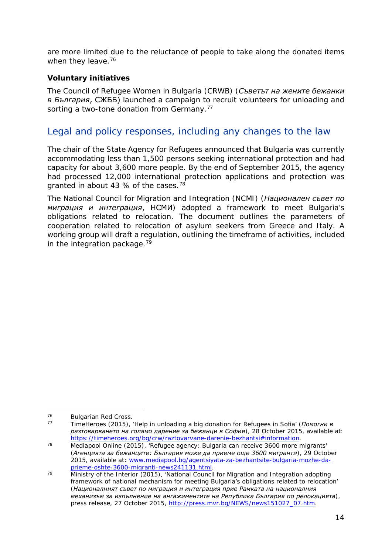are more limited due to the reluctance of people to take along the donated items when they leave.<sup>[76](#page-13-0)</sup>

#### **Voluntary initiatives**

The Council of Refugee Women in Bulgaria (CRWB) (*Съветът на жените бежанки в България*, СЖББ) launched a campaign to recruit volunteers for unloading and sorting a two-tone donation from Germany.<sup>[77](#page-13-1)</sup>

## Legal and policy responses, including any changes to the law

The chair of the State Agency for Refugees announced that Bulgaria was currently accommodating less than 1,500 persons seeking international protection and had capacity for about 3,600 more people. By the end of September 2015, the agency had processed 12,000 international protection applications and protection was granted in about 43 % of the cases.<sup>[78](#page-13-2)</sup>

The National Council for Migration and Integration (NCMI) (*Национален съвет по миграция и интеграция*, НСМИ) adopted a framework to meet Bulgaria's obligations related to relocation. The document outlines the parameters of cooperation related to relocation of asylum seekers from Greece and Italy. A working group will draft a regulation, outlining the timeframe of activities, included in the integration package. $79$ 

<span id="page-13-1"></span><span id="page-13-0"></span> $^{76}$  Bulgarian Red Cross.<br> $^{77}$  TimeHeroes (2015) 76

TimeHeroes (2015), 'Help in unloading a big donation for Refugees in Sofia' (Помогни в *разтоварването на голямо дарение за бежанци в София*), 28 October 2015, available at: [https://timeheroes.org/bg/crw/raztovarvane-darenie-bezhantsi#information.](https://timeheroes.org/bg/crw/raztovarvane-darenie-bezhantsi%23information)

<span id="page-13-2"></span><sup>78</sup> Mediapool Online (2015), 'Refugee agency: Bulgaria can receive 3600 more migrants' (*Агенцията за бежанците: България може да приеме още 3600 мигранти*)*,* 29 October 2015, available at: [www.mediapool.bg/agentsiyata-za-bezhantsite-bulgaria-mozhe-da](http://www.mediapool.bg/agentsiyata-za-bezhantsite-bulgaria-mozhe-da-prieme-oshte-3600-migranti-news241131.html)[prieme-oshte-3600-migranti-news241131.html.](http://www.mediapool.bg/agentsiyata-za-bezhantsite-bulgaria-mozhe-da-prieme-oshte-3600-migranti-news241131.html)

<span id="page-13-3"></span><sup>79</sup> Ministry of the Interior (2015), 'National Council for Migration and Integration adopting framework of national mechanism for meeting Bulgaria's obligations related to relocation' (*Националният съвет по миграция и интеграция прие Рамката на националния механизъм за изпълнение на ангажиментите на Република България по релокацията*)*,*  press release, 27 October 2015, [http://press.mvr.bg/NEWS/news151027\\_07.htm.](http://press.mvr.bg/NEWS/news151027_07.htm)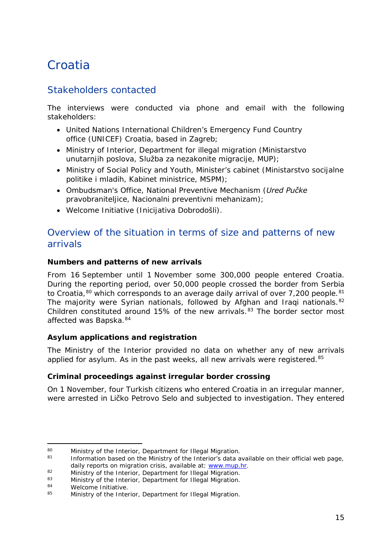## <span id="page-14-0"></span>**Croatia**

## Stakeholders contacted

The interviews were conducted via phone and email with the following stakeholders:

- United Nations International Children's Emergency Fund Country office (UNICEF) Croatia, based in Zagreb;
- Ministry of Interior, Department for illegal migration (*Ministarstvo unutarnjih poslova, Služba za nezakonite migracije*, *MUP*);
- Ministry of Social Policy and Youth, Minister's cabinet (*Ministarstvo socijalne politike i mladih, Kabinet ministrice, MSPM*);
- Ombudsman's Office, National Preventive Mechanism (*Ured Pučke pravobraniteljice, Nacionalni preventivni mehanizam*);
- Welcome Initiative (*Inicijativa Dobrodošli*).

## Overview of the situation in terms of size and patterns of new arrivals

#### **Numbers and patterns of new arrivals**

From 16 September until 1 November some 300,000 people entered Croatia. During the reporting period, over 50,000 people crossed the border from Serbia to Croatia, $80$  which corresponds to an average daily arrival of over 7,200 people. $81$ The majority were Syrian nationals, followed by Afghan and Iragi nationals.<sup>[82](#page-14-3)</sup> Children constituted around 15% of the new arrivals. $83$  The border sector most affected was Bapska. [84](#page-14-5)

#### **Asylum applications and registration**

The Ministry of the Interior provided no data on whether any of new arrivals applied for asylum. As in the past weeks, all new arrivals were registered.<sup>[85](#page-14-6)</sup>

#### **Criminal proceedings against irregular border crossing**

On 1 November, four Turkish citizens who entered Croatia in an irregular manner, were arrested in Ličko Petrovo Selo and subjected to investigation. They entered

<span id="page-14-1"></span><sup>80</sup> Ministry of the Interior, Department for Illegal Migration.  $80<sub>o</sub>$ 

<span id="page-14-2"></span>Information based on the Ministry of the Interior's data available on their official web page, daily reports on migration crisis, available at: [www.mup.hr.](http://www.mup.hr/)

<span id="page-14-3"></span><sup>82</sup> Ministry of the Interior, Department for Illegal Migration.

<span id="page-14-4"></span><sup>83</sup> Ministry of the Interior, Department for Illegal Migration.<br>84 Melsome Initiative

<span id="page-14-5"></span> $^{84}$  Welcome Initiative.

<span id="page-14-6"></span>Ministry of the Interior, Department for Illegal Migration.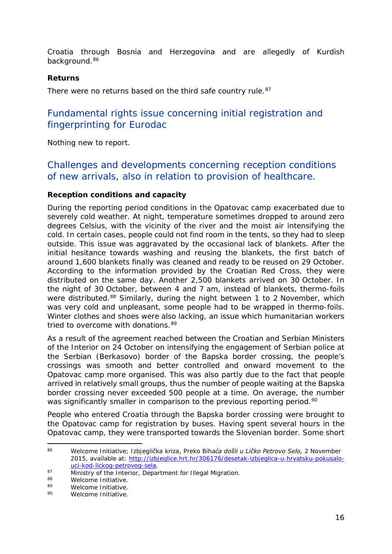<span id="page-15-3"></span>Croatia through Bosnia and Herzegovina and are allegedly of Kurdish background.<sup>[86](#page-15-0)</sup>

#### **Returns**

There were no returns based on the third safe country rule.<sup>[87](#page-15-1)</sup>

## Fundamental rights issue concerning initial registration and fingerprinting for Eurodac

Nothing new to report.

## Challenges and developments concerning reception conditions of new arrivals, also in relation to provision of healthcare.

#### **Reception conditions and capacity**

During the reporting period conditions in the Opatovac camp exacerbated due to severely cold weather. At night, temperature sometimes dropped to around zero degrees Celsius, with the vicinity of the river and the moist air intensifying the cold. In certain cases, people could not find room in the tents, so they had to sleep outside. This issue was aggravated by the occasional lack of blankets. After the initial hesitance towards washing and reusing the blankets, the first batch of around 1,600 blankets finally was cleaned and ready to be reused on 29 October. According to the information provided by the Croatian Red Cross, they were distributed on the same day. Another 2,500 blankets arrived on 30 October. In the night of 30 October, between 4 and 7 am, instead of blankets, thermo-foils were distributed.<sup>[88](#page-15-2)</sup> Similarly, during the night between 1 to 2 November, which was very cold and unpleasant, some people had to be wrapped in thermo-foils. Winter clothes and shoes were also lacking, an issue which humanitarian workers tried to overcome with donations. [89](#page-15-3)

As a result of the agreement reached between the Croatian and Serbian Ministers of the Interior on 24 October on intensifying the engagement of Serbian police at the Serbian (Berkasovo) border of the Bapska border crossing, the people's crossings was smooth and better controlled and onward movement to the Opatovac camp more organised. This was also partly due to the fact that people arrived in relatively small groups, thus the number of people waiting at the Bapska border crossing never exceeded 500 people at a time. On average, the number was significantly smaller in comparison to the previous reporting period.<sup>[90](#page-15-4)</sup>

People who entered Croatia through the Bapska border crossing were brought to the Opatovac camp for registration by buses. Having spent several hours in the Opatovac camp, they were transported towards the Slovenian border. Some short

<span id="page-15-0"></span><sup>86</sup> Welcome Initiative; Izbjeglička kriza, *Preko Bihaća došli u Ličko Petrovo Selo,* 2 November 2015, available at: [http://izbjeglice.hrt.hr/306176/desetak-izbjeglica-u-hrvatsku-pokusalo](http://izbjeglice.hrt.hr/306176/desetak-izbjeglica-u-hrvatsku-pokusalo-uci-kod-lickog-petrovog-sela)[uci-kod-lickog-petrovog-sela.](http://izbjeglice.hrt.hr/306176/desetak-izbjeglica-u-hrvatsku-pokusalo-uci-kod-lickog-petrovog-sela)  $86$ 

<span id="page-15-1"></span><sup>87</sup> Ministry of the Interior, Department for Illegal Migration.<br>88 Melcome Initiative

<span id="page-15-2"></span><sup>&</sup>lt;sup>88</sup> Welcome Initiative.<br><sup>89</sup> Melcome Initiative

<span id="page-15-4"></span><sup>89</sup> Welcome Initiative.<br>90 Melcome Initiative

Welcome Initiative.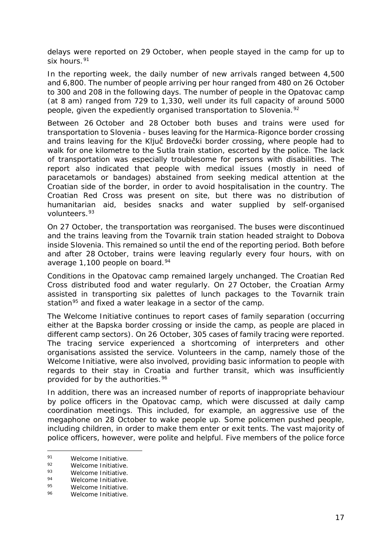delays were reported on 29 October, when people stayed in the camp for up to six hours.<sup>[91](#page-16-0)</sup>

In the reporting week, the daily number of new arrivals ranged between 4,500 and 6,800. The number of people arriving per hour ranged from 480 on 26 October to 300 and 208 in the following days. The number of people in the Opatovac camp (at 8 am) ranged from 729 to 1,330, well under its full capacity of around 5000 people, given the expediently organised transportation to Slovenia.<sup>[92](#page-16-1)</sup>

Between 26 October and 28 October both buses and trains were used for transportation to Slovenia - buses leaving for the Harmica-Rigonce border crossing and trains leaving for the Ključ Brdovečki border crossing, where people had to walk for one kilometre to the Sutla train station, escorted by the police. The lack of transportation was especially troublesome for persons with disabilities. The report also indicated that people with medical issues (mostly in need of paracetamols or bandages) abstained from seeking medical attention at the Croatian side of the border, in order to avoid hospitalisation in the country. The Croatian Red Cross was present on site, but there was no distribution of humanitarian aid, besides snacks and water supplied by self-organised volunteers.[93](#page-16-2)

On 27 October, the transportation was reorganised. The buses were discontinued and the trains leaving from the Tovarnik train station headed straight to Dobova inside Slovenia. This remained so until the end of the reporting period. Both before and after 28 October, trains were leaving regularly every four hours, with on average 1,100 people on board.<sup>[94](#page-16-3)</sup>

Conditions in the Opatovac camp remained largely unchanged. The Croatian Red Cross distributed food and water regularly. On 27 October, the Croatian Army assisted in transporting six palettes of lunch packages to the Tovarnik train station<sup>[95](#page-16-4)</sup> and fixed a water leakage in a sector of the camp.

The Welcome Initiative continues to report cases of family separation (occurring either at the Bapska border crossing or inside the camp, as people are placed in different camp sectors). On 26 October, 305 cases of family tracing were reported. The tracing service experienced a shortcoming of interpreters and other organisations assisted the service. Volunteers in the camp, namely those of the Welcome Initiative, were also involved, providing basic information to people with regards to their stay in Croatia and further transit, which was insufficiently provided for by the authorities.<sup>[96](#page-16-5)</sup>

In addition, there was an increased number of reports of inappropriate behaviour by police officers in the Opatovac camp, which were discussed at daily camp coordination meetings. This included, for example, an aggressive use of the megaphone on 28 October to wake people up. Some policemen pushed people, including children, in order to make them enter or exit tents. The vast majority of police officers, however, were polite and helpful. Five members of the police force

<span id="page-16-0"></span><sup>&</sup>lt;sup>91</sup> Welcome Initiative.  $Q<sub>1</sub>$ 

<span id="page-16-1"></span><sup>92</sup> Welcome Initiative.<br>93 Melcome Initiative

<span id="page-16-2"></span><sup>&</sup>lt;sup>93</sup> Welcome Initiative.<br><sup>94</sup> Melcome Initiative

<span id="page-16-3"></span><sup>&</sup>lt;sup>94</sup> Welcome Initiative.<br><sup>95</sup> Melcome Initiative

<span id="page-16-4"></span> $^{95}$  Welcome Initiative.

<span id="page-16-5"></span>Welcome Initiative.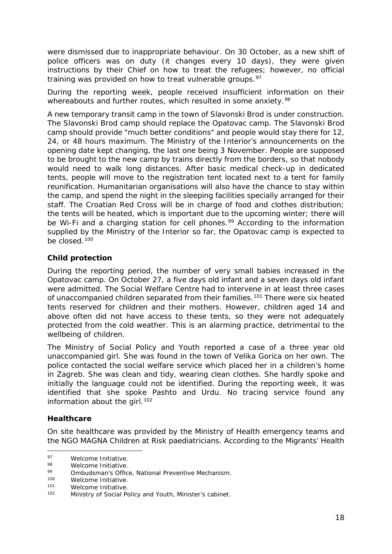<span id="page-17-3"></span>were dismissed due to inappropriate behaviour. On 30 October, as a new shift of police officers was on duty (it changes every 10 days), they were given instructions by their Chief on how to treat the refugees; however, no official training was provided on how to treat vulnerable groups.<sup>[97](#page-17-0)</sup>

During the reporting week, people received insufficient information on their whereabouts and further routes, which resulted in some anxiety.<sup>[98](#page-17-1)</sup>

A new temporary transit camp in the town of Slavonski Brod is under construction. The Slavonski Brod camp should replace the Opatovac camp. The Slavonski Brod camp should provide "much better conditions" and people would stay there for 12, 24, or 48 hours maximum. The Ministry of the Interior's announcements on the opening date kept changing, the last one being 3 November. People are supposed to be brought to the new camp by trains directly from the borders, so that nobody would need to walk long distances. After basic medical check-up in dedicated tents, people will move to the registration tent located next to a tent for family reunification. Humanitarian organisations will also have the chance to stay within the camp, and spend the night in the sleeping facilities specially arranged for their staff. The Croatian Red Cross will be in charge of food and clothes distribution; the tents will be heated, which is important due to the upcoming winter; there will be Wi-Fi and a charging station for cell phones.<sup>[99](#page-17-2)</sup> According to the information supplied by the Ministry of the Interior so far, the Opatovac camp is expected to be closed.[100](#page-17-3)

#### **Child protection**

During the reporting period, the number of very small babies increased in the Opatovac camp. On October 27, a five days old infant and a seven days old infant were admitted. The Social Welfare Centre had to intervene in at least three cases of unaccompanied children separated from their families.<sup>[101](#page-17-4)</sup> There were six heated tents reserved for children and their mothers. However, children aged 14 and above often did not have access to these tents, so they were not adequately protected from the cold weather. This is an alarming practice, detrimental to the wellbeing of children.

The Ministry of Social Policy and Youth reported a case of a three year old unaccompanied girl. She was found in the town of Velika Gorica on her own. The police contacted the social welfare service which placed her in a children's home in Zagreb. She was clean and tidy, wearing clean clothes. She hardly spoke and initially the language could not be identified. During the reporting week, it was identified that she spoke Pashto and Urdu. No tracing service found any information about the girl.  $102$ 

#### **Healthcare**

On site healthcare was provided by the Ministry of Health emergency teams and the NGO MAGNA Children at Risk paediatricians. According to the Migrants' Health

<span id="page-17-0"></span><sup>97</sup> Welcome Initiative.  $Q<sub>7</sub>$ 

<span id="page-17-1"></span> $^{98}$  Welcome Initiative.

<span id="page-17-2"></span><sup>99</sup> Ombudsman's Office, National Preventive Mechanism.<br>100 Melcome Initiative

<sup>100</sup> Welcome Initiative.<br>101 Melcome Initiative

<span id="page-17-4"></span> $101$  Welcome Initiative.<br> $102$  Ministry of Social Be

<span id="page-17-5"></span>Ministry of Social Policy and Youth, Minister's cabinet.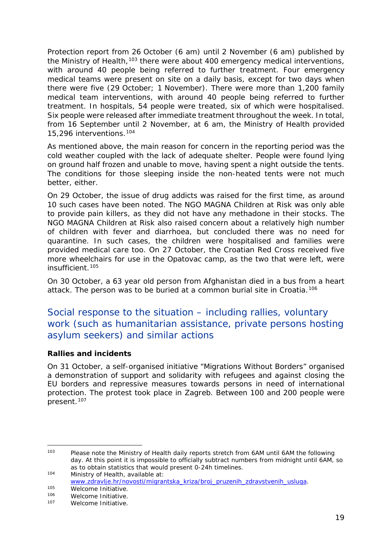Protection report from 26 October (6 am) until 2 November (6 am) published by the Ministry of Health,<sup>[103](#page-18-0)</sup> there were about 400 emergency medical interventions. with around 40 people being referred to further treatment. Four emergency medical teams were present on site on a daily basis, except for two days when there were five (29 October; 1 November). There were more than 1,200 family medical team interventions, with around 40 people being referred to further treatment. In hospitals, 54 people were treated, six of which were hospitalised. Six people were released after immediate treatment throughout the week. In total, from 16 September until 2 November, at 6 am, the Ministry of Health provided 15,296 interventions.[104](#page-18-1)

As mentioned above, the main reason for concern in the reporting period was the cold weather coupled with the lack of adequate shelter. People were found lying on ground half frozen and unable to move, having spent a night outside the tents. The conditions for those sleeping inside the non-heated tents were not much better, either.

On 29 October, the issue of drug addicts was raised for the first time, as around 10 such cases have been noted. The NGO MAGNA Children at Risk was only able to provide pain killers, as they did not have any methadone in their stocks. The NGO MAGNA Children at Risk also raised concern about a relatively high number of children with fever and diarrhoea, but concluded there was no need for quarantine. In such cases, the children were hospitalised and families were provided medical care too. On 27 October, the Croatian Red Cross received five more wheelchairs for use in the Opatovac camp, as the two that were left, were insufficient.[105](#page-18-2)

On 30 October, a 63 year old person from Afghanistan died in a bus from a heart attack. The person was to be buried at a common burial site in Croatia.[106](#page-18-3)

## Social response to the situation – including rallies, voluntary work (such as humanitarian assistance, private persons hosting asylum seekers) and similar actions

#### **Rallies and incidents**

On 31 October, a self-organised initiative "Migrations Without Borders" organised a demonstration of support and solidarity with refugees and against closing the EU borders and repressive measures towards persons in need of international protection. The protest took place in Zagreb. Between 100 and 200 people were present.<sup>[107](#page-18-4)</sup>

<span id="page-18-0"></span>Please note the Ministry of Health daily reports stretch from 6AM until 6AM the following day. At this point it is impossible to officially subtract numbers from midnight until 6AM, so as to obtain statistics that would present 0-24h timelines. <sup>104</sup> Ministry of Health, available at:  $103$ 

<span id="page-18-1"></span>[www.zdravlje.hr/novosti/migrantska\\_kriza/broj\\_pruzenih\\_zdravstvenih\\_usluga.](http://www.zdravlje.hr/novosti/migrantska_kriza/broj_pruzenih_zdravstvenih_usluga)

<span id="page-18-2"></span><sup>105</sup> Welcome Initiative.<br>106 Melcome Initiative

<span id="page-18-4"></span><span id="page-18-3"></span><sup>106</sup> Welcome Initiative.<br>107 Melcome Initiative

Welcome Initiative.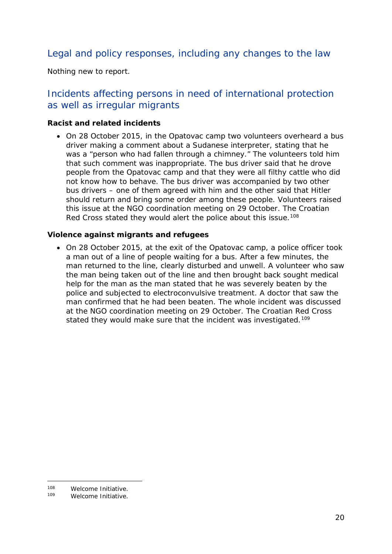## Legal and policy responses, including any changes to the law

Nothing new to report.

## Incidents affecting persons in need of international protection as well as irregular migrants

#### **Racist and related incidents**

• On 28 October 2015, in the Opatovac camp two volunteers overheard a bus driver making a comment about a Sudanese interpreter, stating that he was a "person who had fallen through a chimney." The volunteers told him that such comment was inappropriate. The bus driver said that he drove people from the Opatovac camp and that they were all filthy cattle who did not know how to behave. The bus driver was accompanied by two other bus drivers – one of them agreed with him and the other said that Hitler should return and bring some order among these people. Volunteers raised this issue at the NGO coordination meeting on 29 October. The Croatian Red Cross stated they would alert the police about this issue.<sup>[108](#page-19-0)</sup>

#### **Violence against migrants and refugees**

• On 28 October 2015, at the exit of the Opatovac camp, a police officer took a man out of a line of people waiting for a bus. After a few minutes, the man returned to the line, clearly disturbed and unwell. A volunteer who saw the man being taken out of the line and then brought back sought medical help for the man as the man stated that he was severely beaten by the police and subjected to electroconvulsive treatment. A doctor that saw the man confirmed that he had been beaten. The whole incident was discussed at the NGO coordination meeting on 29 October. The Croatian Red Cross stated they would make sure that the incident was investigated.<sup>[109](#page-19-1)</sup>

<span id="page-19-0"></span><sup>108</sup> Welcome Initiative.<br>109 Melcome Initiative  $108$ 

<span id="page-19-1"></span>Welcome Initiative.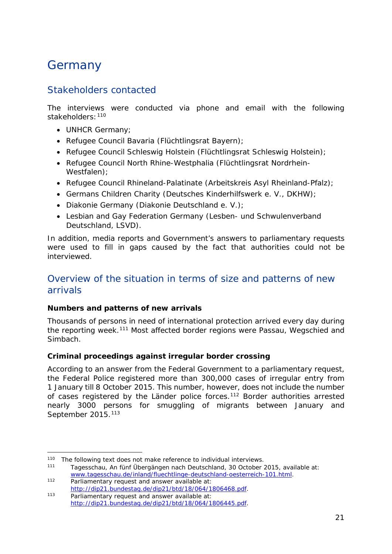## <span id="page-20-0"></span>Germany

## Stakeholders contacted

The interviews were conducted via phone and email with the following stakeholders:[110](#page-20-1)

- UNHCR Germany;
- Refugee Council Bavaria (*Flüchtlingsrat Bayern*);
- Refugee Council Schleswig Holstein (*Flüchtlingsrat Schleswig Holstein*);
- Refugee Council North Rhine-Westphalia (*Flüchtlingsrat Nordrhein-Westfalen*);
- Refugee Council Rhineland-Palatinate (*Arbeitskreis Asyl Rheinland-Pfalz*);
- Germans Children Charity (*Deutsches Kinderhilfswerk e. V., DKHW*);
- Diakonie Germany (*Diakonie Deutschland e. V*.);
- Lesbian and Gay Federation Germany (*Lesben- und Schwulenverband Deutschland, LSVD*).

In addition, media reports and Government's answers to parliamentary requests were used to fill in gaps caused by the fact that authorities could not be interviewed.

## Overview of the situation in terms of size and patterns of new arrivals

#### **Numbers and patterns of new arrivals**

Thousands of persons in need of international protection arrived every day during the reporting week.<sup>[111](#page-20-2)</sup> Most affected border regions were Passau, Wegschied and Simbach.

#### **Criminal proceedings against irregular border crossing**

According to an answer from the Federal Government to a parliamentary request, the Federal Police registered more than 300,000 cases of irregular entry from 1 January till 8 October 2015. This number, however, does not include the number of cases registered by the Länder police forces.<sup>[112](#page-20-3)</sup> Border authorities arrested nearly 3000 persons for smuggling of migrants between January and September 2015.<sup>[113](#page-20-4)</sup>

<span id="page-20-1"></span><sup>&</sup>lt;sup>110</sup> The following text does not make reference to individual interviews.<br><sup>111</sup> Tagsscebuu, An fünf Übergängen nach Deutschland 20 Ostober in  $110$ 

<span id="page-20-2"></span><sup>111</sup> Tagesschau, *An fünf Übergängen nach Deutschland,* 30 October 2015, available at: [www.tagesschau.de/inland/fluechtlinge-deutschland-oesterreich-101.html.](http://www.tagesschau.de/inland/fluechtlinge-deutschland-oesterreich-101.html)

<span id="page-20-3"></span><sup>112</sup> Parliamentary request and answer available at: [http://dip21.bundestag.de/dip21/btd/18/064/1806468.pdf.](http://dip21.bundestag.de/dip21/btd/18/064/1806468.pdf)

<span id="page-20-4"></span><sup>113</sup> Parliamentary request and answer available at: [http://dip21.bundestag.de/dip21/btd/18/064/1806445.pdf.](http://dip21.bundestag.de/dip21/btd/18/064/1806445.pdf)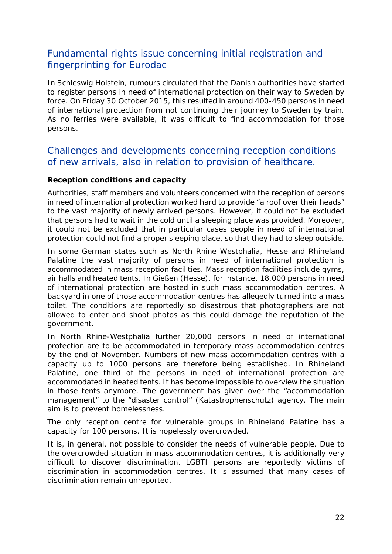## Fundamental rights issue concerning initial registration and fingerprinting for Eurodac

In Schleswig Holstein, rumours circulated that the Danish authorities have started to register persons in need of international protection on their way to Sweden by force. On Friday 30 October 2015, this resulted in around 400-450 persons in need of international protection from not continuing their journey to Sweden by train. As no ferries were available, it was difficult to find accommodation for those persons.

## Challenges and developments concerning reception conditions of new arrivals, also in relation to provision of healthcare.

#### **Reception conditions and capacity**

Authorities, staff members and volunteers concerned with the reception of persons in need of international protection worked hard to provide "a roof over their heads" to the vast majority of newly arrived persons. However, it could not be excluded that persons had to wait in the cold until a sleeping place was provided. Moreover, it could not be excluded that in particular cases people in need of international protection could not find a proper sleeping place, so that they had to sleep outside.

In some German states such as North Rhine Westphalia, Hesse and Rhineland Palatine the vast majority of persons in need of international protection is accommodated in mass reception facilities. Mass reception facilities include gyms, air halls and heated tents. In Gießen (Hesse), for instance, 18,000 persons in need of international protection are hosted in such mass accommodation centres. A backyard in one of those accommodation centres has allegedly turned into a mass toilet. The conditions are reportedly so disastrous that photographers are not allowed to enter and shoot photos as this could damage the reputation of the government.

In North Rhine-Westphalia further 20,000 persons in need of international protection are to be accommodated in temporary mass accommodation centres by the end of November. Numbers of new mass accommodation centres with a capacity up to 1000 persons are therefore being established. In Rhineland Palatine, one third of the persons in need of international protection are accommodated in heated tents. It has become impossible to overview the situation in those tents anymore. The government has given over the "accommodation management" to the "disaster control" (*Katastrophenschutz*) agency. The main aim is to prevent homelessness.

The only reception centre for vulnerable groups in Rhineland Palatine has a capacity for 100 persons. It is hopelessly overcrowded.

It is, in general, not possible to consider the needs of vulnerable people. Due to the overcrowded situation in mass accommodation centres, it is additionally very difficult to discover discrimination. LGBTI persons are reportedly victims of discrimination in accommodation centres. It is assumed that many cases of discrimination remain unreported.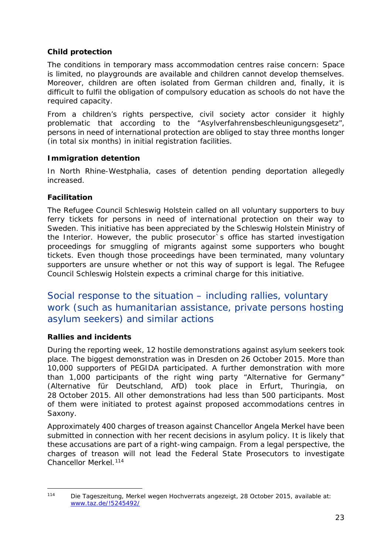#### **Child protection**

The conditions in temporary mass accommodation centres raise concern: Space is limited, no playgrounds are available and children cannot develop themselves. Moreover, children are often isolated from German children and, finally, it is difficult to fulfil the obligation of compulsory education as schools do not have the required capacity.

From a children's rights perspective, civil society actor consider it highly problematic that according to the "*Asylverfahrensbeschleunigungsgesetz*", persons in need of international protection are obliged to stay three months longer (in total six months) in initial registration facilities.

#### **Immigration detention**

In North Rhine-Westphalia, cases of detention pending deportation allegedly increased.

#### **Facilitation**

The Refugee Council Schleswig Holstein called on all voluntary supporters to buy ferry tickets for persons in need of international protection on their way to Sweden. This initiative has been appreciated by the Schleswig Holstein Ministry of the Interior. However, the public prosecutor`s office has started investigation proceedings for smuggling of migrants against some supporters who bought tickets. Even though those proceedings have been terminated, many voluntary supporters are unsure whether or not this way of support is legal. The Refugee Council Schleswig Holstein expects a criminal charge for this initiative.

Social response to the situation – including rallies, voluntary work (such as humanitarian assistance, private persons hosting asylum seekers) and similar actions

#### **Rallies and incidents**

During the reporting week, 12 hostile demonstrations against asylum seekers took place. The biggest demonstration was in Dresden on 26 October 2015. More than 10,000 supporters of PEGIDA participated. A further demonstration with more than 1,000 participants of the right wing party "Alternative for Germany" (*Alternative für Deutschland, AfD*) took place in Erfurt, Thuringia, on 28 October 2015. All other demonstrations had less than 500 participants. Most of them were initiated to protest against proposed accommodations centres in Saxony.

Approximately 400 charges of treason against Chancellor Angela Merkel have been submitted in connection with her recent decisions in asylum policy. It is likely that these accusations are part of a right-wing campaign. From a legal perspective, the charges of treason will not lead the Federal State Prosecutors to investigate Chancellor Merkel.<sup>[114](#page-22-0)</sup>

<span id="page-22-0"></span><sup>114</sup> Die Tageszeitung, *Merkel wegen Hochverrats angezeigt,* 28 October 2015, available at: [www.taz.de/!5245492/](http://www.taz.de/!5245492/) 114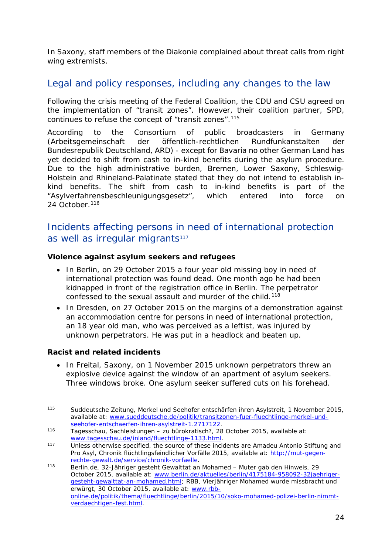In Saxony, staff members of the Diakonie complained about threat calls from right wing extremists.

## Legal and policy responses, including any changes to the law

Following the crisis meeting of the Federal Coalition, the CDU and CSU agreed on the implementation of "transit zones". However, their coalition partner, SPD, continues to refuse the concept of "transit zones".[115](#page-23-0)

According to the Consortium of public broadcasters in Germany (*Arbeitsgemeinschaft der öffentlich-rechtlichen Rundfunkanstalten der Bundesrepublik Deutschland, ARD*) - except for Bavaria no other German Land has yet decided to shift from cash to in-kind benefits during the asylum procedure. Due to the high administrative burden, Bremen, Lower Saxony, Schleswig-Holstein and Rhineland-Palatinate stated that they do not intend to establish inkind benefits. The shift from cash to in-kind benefits is part of the "*Asylverfahrensbeschleunigungsgesetz*", which entered into force on 24 October.<sup>[116](#page-23-1)</sup>

## Incidents affecting persons in need of international protection as well as irregular migrants<sup>[117](#page-23-2)</sup>

#### **Violence against asylum seekers and refugees**

- In Berlin, on 29 October 2015 a four year old missing boy in need of international protection was found dead. One month ago he had been kidnapped in front of the registration office in Berlin. The perpetrator confessed to the sexual assault and murder of the child.<sup>[118](#page-23-3)</sup>
- In Dresden, on 27 October 2015 on the margins of a demonstration against an accommodation centre for persons in need of international protection, an 18 year old man, who was perceived as a leftist, was injured by unknown perpetrators. He was put in a headlock and beaten up.

#### **Racist and related incidents**

• In Freital, Saxony, on 1 November 2015 unknown perpetrators threw an explosive device against the window of an apartment of asylum seekers. Three windows broke. One asylum seeker suffered cuts on his forehead.

<span id="page-23-0"></span><sup>115</sup> Suddeutsche Zeitung, *Merkel und Seehofer entschärfen ihren Asylstreit,* 1 November 2015, available at: [www.sueddeutsche.de/politik/transitzonen-fuer-fluechtlinge-merkel-und](http://www.sueddeutsche.de/politik/transitzonen-fuer-fluechtlinge-merkel-und-seehofer-entschaerfen-ihren-asylstreit-1.2717122)[seehofer-entschaerfen-ihren-asylstreit-1.2717122.](http://www.sueddeutsche.de/politik/transitzonen-fuer-fluechtlinge-merkel-und-seehofer-entschaerfen-ihren-asylstreit-1.2717122) 115

<span id="page-23-1"></span><sup>116</sup> Tagesschau, *Sachleistungen – zu bürokratisch?,* 28 October 2015, available at: [www.tagesschau.de/inland/fluechtlinge-1133.html.](http://www.tagesschau.de/inland/fluechtlinge-1133.html)

<span id="page-23-2"></span><sup>117</sup> Unless otherwise specified, the source of these incidents are Amadeu Antonio Stiftung and Pro Asyl, Chronik flüchtlingsfeindlicher Vorfälle 2015, available at: [http://mut-gegen](http://mut-gegen-rechte-gewalt.de/service/chronik-vorfaelle)[rechte-gewalt.de/service/chronik-vorfaelle.](http://mut-gegen-rechte-gewalt.de/service/chronik-vorfaelle)

<span id="page-23-3"></span><sup>118</sup> Berlin.de, *32-Jähriger gesteht Gewalttat an Mohamed – Muter gab den Hinweis,* 29 October 2015, available at: [www.berlin.de/aktuelles/berlin/4175184-958092-32jaehriger](http://www.berlin.de/aktuelles/berlin/4175184-958092-32jaehriger-gesteht-gewalttat-an-mohamed.html)[gesteht-gewalttat-an-mohamed.html;](http://www.berlin.de/aktuelles/berlin/4175184-958092-32jaehriger-gesteht-gewalttat-an-mohamed.html) RBB, *Vierjähriger Mohamed wurde missbracht und erwürgt,* 30 October 2015, available at: [www.rbb](http://www.rbb-online.de/politik/thema/fluechtlinge/berlin/2015/10/soko-mohamed-polizei-berlin-nimmt-verdaechtigen-fest.html)[online.de/politik/thema/fluechtlinge/berlin/2015/10/soko-mohamed-polizei-berlin-nimmt](http://www.rbb-online.de/politik/thema/fluechtlinge/berlin/2015/10/soko-mohamed-polizei-berlin-nimmt-verdaechtigen-fest.html)[verdaechtigen-fest.html.](http://www.rbb-online.de/politik/thema/fluechtlinge/berlin/2015/10/soko-mohamed-polizei-berlin-nimmt-verdaechtigen-fest.html)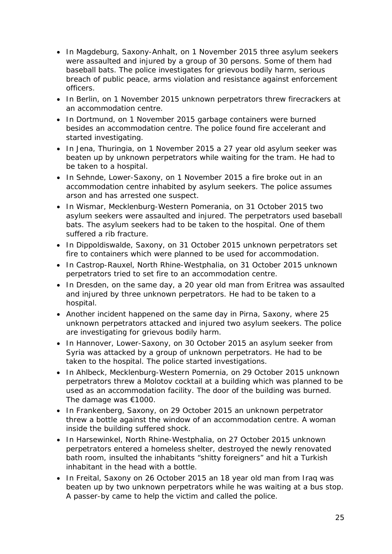- In Magdeburg, Saxony-Anhalt, on 1 November 2015 three asylum seekers were assaulted and injured by a group of 30 persons. Some of them had baseball bats. The police investigates for grievous bodily harm, serious breach of public peace, arms violation and resistance against enforcement officers.
- In Berlin, on 1 November 2015 unknown perpetrators threw firecrackers at an accommodation centre.
- In Dortmund, on 1 November 2015 garbage containers were burned besides an accommodation centre. The police found fire accelerant and started investigating.
- In Jena, Thuringia, on 1 November 2015 a 27 year old asylum seeker was beaten up by unknown perpetrators while waiting for the tram. He had to be taken to a hospital.
- In Sehnde, Lower-Saxony, on 1 November 2015 a fire broke out in an accommodation centre inhabited by asylum seekers. The police assumes arson and has arrested one suspect.
- In Wismar, Mecklenburg-Western Pomerania, on 31 October 2015 two asylum seekers were assaulted and injured. The perpetrators used baseball bats. The asylum seekers had to be taken to the hospital. One of them suffered a rib fracture.
- In Dippoldiswalde, Saxony, on 31 October 2015 unknown perpetrators set fire to containers which were planned to be used for accommodation.
- In Castrop-Rauxel, North Rhine-Westphalia, on 31 October 2015 unknown perpetrators tried to set fire to an accommodation centre.
- In Dresden, on the same day, a 20 year old man from Eritrea was assaulted and injured by three unknown perpetrators. He had to be taken to a hospital.
- Another incident happened on the same day in Pirna, Saxony, where 25 unknown perpetrators attacked and injured two asylum seekers. The police are investigating for grievous bodily harm.
- In Hannover, Lower-Saxony, on 30 October 2015 an asylum seeker from Syria was attacked by a group of unknown perpetrators. He had to be taken to the hospital. The police started investigations.
- In Ahlbeck, Mecklenburg-Western Pomernia, on 29 October 2015 unknown perpetrators threw a Molotov cocktail at a building which was planned to be used as an accommodation facility. The door of the building was burned. The damage was €1000.
- In Frankenberg, Saxony, on 29 October 2015 an unknown perpetrator threw a bottle against the window of an accommodation centre. A woman inside the building suffered shock.
- In Harsewinkel, North Rhine-Westphalia, on 27 October 2015 unknown perpetrators entered a homeless shelter, destroyed the newly renovated bath room, insulted the inhabitants "shitty foreigners" and hit a Turkish inhabitant in the head with a bottle.
- In Freital, Saxony on 26 October 2015 an 18 year old man from Iraq was beaten up by two unknown perpetrators while he was waiting at a bus stop. A passer-by came to help the victim and called the police.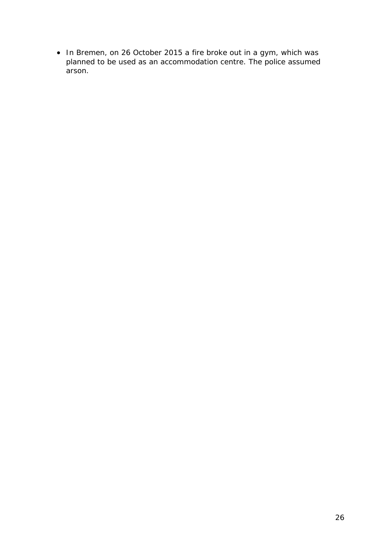• In Bremen, on 26 October 2015 a fire broke out in a gym, which was planned to be used as an accommodation centre. The police assumed arson.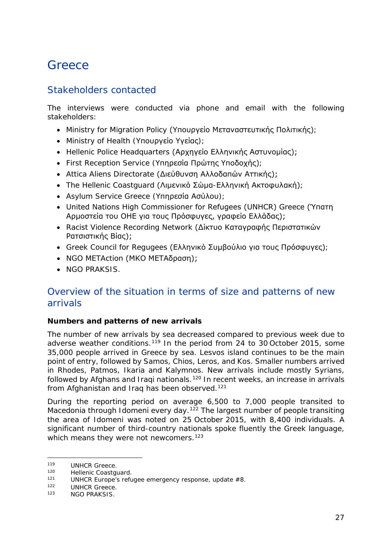## <span id="page-26-0"></span>**Greece**

## Stakeholders contacted

The interviews were conducted via phone and email with the following stakeholders:

- Ministry for Migration Policy (Υπουργείο Μεταναστευτικής Πολιτικής);
- Ministry of Health (Υπουργείο Υγείας);
- Hellenic Police Headquarters (Αρχηγείο Ελληνικής Αστυνομίας);
- First Reception Service (Υπηρεσία Πρώτης Υποδοχής);
- Attica Aliens Directorate (Διεύθυνση Αλλοδαπών Αττικής);
- The Hellenic Coastguard (Λιμενικό Σώμα-Ελληνική Ακτοφυλακή);
- Asylum Service Greece (Υπηρεσία Ασύλου);
- United Nations High Commissioner for Refugees (UNHCR) Greece (Ύπατη Αρμοστεία του ΟΗΕ για τους Πρόσφυγες, γραφείο Ελλάδας);
- Racist Violence Recording Network (Δίκτυο Καταγραφής Περιστατικών Ρατσιστικής Βίας);
- Greek Council for Regugees (Ελληνικό Συμβούλιο για τους Πρόσφυγες);
- NGO METAction (ΜΚΟ ΜΕΤΑδραση);
- NGO PRAKSIS.

## Overview of the situation in terms of size and patterns of new arrivals

#### **Numbers and patterns of new arrivals**

The number of new arrivals by sea decreased compared to previous week due to adverse weather conditions.<sup>[119](#page-26-1)</sup> In the period from 24 to 30 October 2015, some 35,000 people arrived in Greece by sea. Lesvos island continues to be the main point of entry, followed by Samos, Chios, Leros, and Kos. Smaller numbers arrived in Rhodes, Patmos, Ikaria and Kalymnos. New arrivals include mostly Syrians, followed by Afghans and Iraqi nationals.<sup>[120](#page-26-2)</sup> In recent weeks, an increase in arrivals from Afghanistan and Irag has been observed.<sup>[121](#page-26-3)</sup>

During the reporting period on average 6,500 to 7,000 people transited to Macedonia through Idomeni every day.<sup>[122](#page-26-4)</sup> The largest number of people transiting the area of Idomeni was noted on 25 October 2015, with 8,400 individuals. A significant number of third-country nationals spoke fluently the Greek language, which means they were not newcomers.<sup>[123](#page-26-5)</sup>

<span id="page-26-1"></span><sup>119</sup> UNHCR Greece.<br>120 Uellenie Coostal 119

<span id="page-26-2"></span><sup>120</sup> Hellenic Coastguard.<br>121 HUNHOD Europe's refu

<span id="page-26-3"></span><sup>121</sup> UNHCR Europe's refugee emergency response, update #8.

<span id="page-26-4"></span> $122$  UNHCR Greece.<br> $123$  NCO PRAYSIS

<span id="page-26-5"></span>**NGO PRAKSIS.**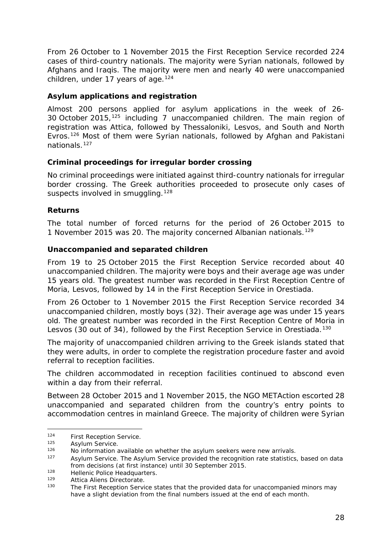<span id="page-27-2"></span>From 26 October to 1 November 2015 the First Reception Service recorded 224 cases of third-country nationals. The majority were Syrian nationals, followed by Afghans and Iraqis. The majority were men and nearly 40 were unaccompanied children, under 17 years of age.<sup>[124](#page-27-0)</sup>

#### **Asylum applications and registration**

Almost 200 persons applied for asylum applications in the week of 26- 30 October 2015,[125](#page-27-1) including 7 unaccompanied children. The main region of registration was Attica, followed by Thessaloniki, Lesvos, and South and North Evros.[126](#page-27-2) Most of them were Syrian nationals, followed by Afghan and Pakistani nationals.[127](#page-27-2)

#### **Criminal proceedings for irregular border crossing**

No criminal proceedings were initiated against third-country nationals for irregular border crossing. The Greek authorities proceeded to prosecute only cases of suspects involved in smuggling.<sup>[128](#page-27-3)</sup>

#### **Returns**

The total number of forced returns for the period of 26 October 2015 to 1 November 2015 was 20. The majority concerned Albanian nationals.[129](#page-27-4)

#### **Unaccompanied and separated children**

From 19 to 25 October 2015 the First Reception Service recorded about 40 unaccompanied children. The majority were boys and their average age was under 15 years old. The greatest number was recorded in the First Reception Centre of Moria, Lesvos, followed by 14 in the First Reception Service in Orestiada.

From 26 October to 1 November 2015 the First Reception Service recorded 34 unaccompanied children, mostly boys (32). Their average age was under 15 years old. The greatest number was recorded in the First Reception Centre of Moria in Lesvos (30 out of 34), followed by the First Reception Service in Orestiada.<sup>[130](#page-27-5)</sup>

The majority of unaccompanied children arriving to the Greek islands stated that they were adults, in order to complete the registration procedure faster and avoid referral to reception facilities.

The children accommodated in reception facilities continued to abscond even within a day from their referral.

Between 28 October 2015 and 1 November 2015, the NGO METAction escorted 28 unaccompanied and separated children from the country's entry points to accommodation centres in mainland Greece. The majority of children were Syrian

<span id="page-27-0"></span><sup>&</sup>lt;sup>124</sup> First Reception Service.  $124$ 

<span id="page-27-1"></span><sup>&</sup>lt;sup>125</sup> Asylum Service.

 $126$  No information available on whether the asylum seekers were new arrivals.<br> $127$  Asylum Service, The Asylum Service provided the recognition rate statistics

Asylum Service. The Asylum Service provided the recognition rate statistics, based on data from decisions (at first instance) until 30 September 2015.

<span id="page-27-3"></span><sup>128</sup> Hellenic Police Headquarters.<br>129 Attica Alions Directorate

<span id="page-27-5"></span><span id="page-27-4"></span><sup>129</sup> Attica Aliens Directorate.<br>130 The First Deception Servi

The First Reception Service states that the provided data for unaccompanied minors may have a slight deviation from the final numbers issued at the end of each month.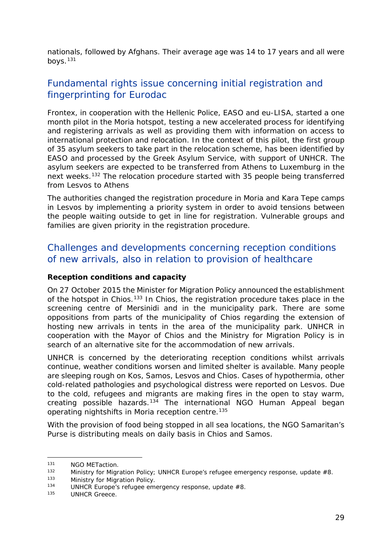<span id="page-28-4"></span>nationals, followed by Afghans. Their average age was 14 to 17 years and all were boys. $131$ 

## Fundamental rights issue concerning initial registration and fingerprinting for Eurodac

Frontex, in cooperation with the Hellenic Police, EASO and eu-LISA, started a one month pilot in the Moria hotspot, testing a new accelerated process for identifying and registering arrivals as well as providing them with information on access to international protection and relocation. In the context of this pilot, the first group of 35 asylum seekers to take part in the relocation scheme, has been identified by EASO and processed by the Greek Asylum Service, with support of UNHCR. The asylum seekers are expected to be transferred from Athens to Luxemburg in the next weeks.[132](#page-28-1) The relocation procedure started with 35 people being transferred from Lesvos to Athens

The authorities changed the registration procedure in Moria and Kara Tepe camps in Lesvos by implementing a priority system in order to avoid tensions between the people waiting outside to get in line for registration. Vulnerable groups and families are given priority in the registration procedure.

### Challenges and developments concerning reception conditions of new arrivals, also in relation to provision of healthcare

#### **Reception conditions and capacity**

On 27 October 2015 the Minister for Migration Policy announced the establishment of the hotspot in Chios.<sup>[133](#page-28-2)</sup> In Chios, the registration procedure takes place in the screening centre of Mersinidi and in the municipality park. There are some oppositions from parts of the municipality of Chios regarding the extension of hosting new arrivals in tents in the area of the municipality park. UNHCR in cooperation with the Mayor of Chios and the Ministry for Migration Policy is in search of an alternative site for the accommodation of new arrivals.

UNHCR is concerned by the deteriorating reception conditions whilst arrivals continue, weather conditions worsen and limited shelter is available. Many people are sleeping rough on Kos, Samos, Lesvos and Chios. Cases of hypothermia, other cold-related pathologies and psychological distress were reported on Lesvos. Due to the cold, refugees and migrants are making fires in the open to stay warm, creating possible hazards.<sup>[134](#page-28-3)</sup> The international NGO Human Appeal began operating nightshifts in Moria reception centre.<sup>[135](#page-28-4)</sup>

With the provision of food being stopped in all sea locations, the NGO Samaritan's Purse is distributing meals on daily basis in Chios and Samos.

<span id="page-28-0"></span><sup>&</sup>lt;sup>131</sup> NGO METaction.<br><sup>132</sup> Ministry for Migr 131

<span id="page-28-1"></span> $132$  Ministry for Migration Policy; UNHCR Europe's refugee emergency response, update  $#8$ .<br> $133$  Ministry for Migration Policy.

<span id="page-28-2"></span><sup>133</sup> Ministry for Migration Policy.<br>134 HINHOP Europe's refugee om

<span id="page-28-3"></span> $134$  UNHCR Europe's refugee emergency response, update #8.

UNHCR Greece.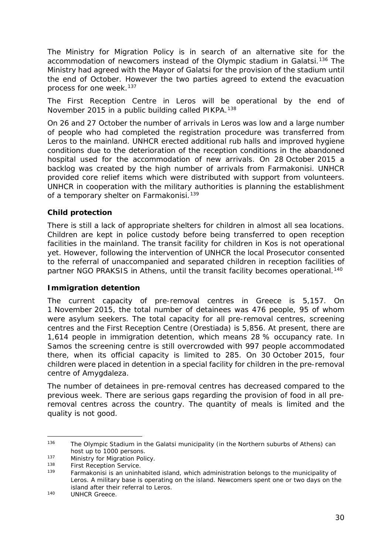<span id="page-29-1"></span>The Ministry for Migration Policy is in search of an alternative site for the accommodation of newcomers instead of the Olympic stadium in Galatsi.<sup>[136](#page-29-0)</sup> The Ministry had agreed with the Mayor of Galatsi for the provision of the stadium until the end of October. However the two parties agreed to extend the evacuation process for one week.<sup>[137](#page-29-1)</sup>

The First Reception Centre in Leros will be operational by the end of November 2015 in a public building called PIKPA.[138](#page-29-2)

On 26 and 27 October the number of arrivals in Leros was low and a large number of people who had completed the registration procedure was transferred from Leros to the mainland. UNHCR erected additional rub halls and improved hygiene conditions due to the deterioration of the reception conditions in the abandoned hospital used for the accommodation of new arrivals. On 28 October 2015 a backlog was created by the high number of arrivals from Farmakonisi. UNHCR provided core relief items which were distributed with support from volunteers. UNHCR in cooperation with the military authorities is planning the establishment of a temporary shelter on Farmakonisi.<sup>[139](#page-29-3)</sup>

#### **Child protection**

There is still a lack of appropriate shelters for children in almost all sea locations. Children are kept in police custody before being transferred to open reception facilities in the mainland. The transit facility for children in Kos is not operational yet. However, following the intervention of UNHCR the local Prosecutor consented to the referral of unaccompanied and separated children in reception facilities of partner NGO PRAKSIS in Athens, until the transit facility becomes operational.<sup>[140](#page-29-4)</sup>

#### **Immigration detention**

The current capacity of pre-removal centres in Greece is 5,157. On 1 November 2015, the total number of detainees was 476 people, 95 of whom were asylum seekers. The total capacity for all pre-removal centres, screening centres and the First Reception Centre (Orestiada) is 5,856. At present, there are 1,614 people in immigration detention, which means 28 % occupancy rate. In Samos the screening centre is still overcrowded with 997 people accommodated there, when its official capacity is limited to 285. On 30 October 2015, four children were placed in detention in a special facility for children in the pre-removal centre of Amygdaleza.

The number of detainees in pre-removal centres has decreased compared to the previous week. There are serious gaps regarding the provision of food in all preremoval centres across the country. The quantity of meals is limited and the quality is not good.

-

<span id="page-29-0"></span><sup>&</sup>lt;sup>136</sup> The Olympic Stadium in the Galatsi municipality (in the Northern suburbs of Athens) can host up to 1000 persons.

<sup>&</sup>lt;sup>137</sup> Ministry for Migration Policy.<br><sup>138</sup> First Desember Service.

<span id="page-29-3"></span><span id="page-29-2"></span><sup>&</sup>lt;sup>138</sup> First Reception Service.

<sup>139</sup> Farmakonisi is an uninhabited island, which administration belongs to the municipality of Leros. A military base is operating on the island. Newcomers spent one or two days on the island after their referral to Leros.

<span id="page-29-4"></span><sup>140</sup> UNHCR Greece.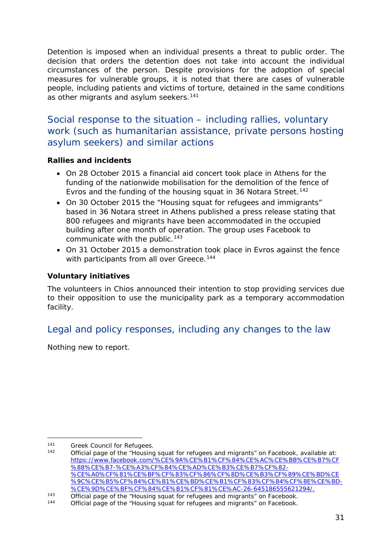Detention is imposed when an individual presents a threat to public order. The decision that orders the detention does not take into account the individual circumstances of the person. Despite provisions for the adoption of special measures for vulnerable groups, it is noted that there are cases of vulnerable people, including patients and victims of torture, detained in the same conditions as other migrants and asylum seekers.<sup>[141](#page-30-0)</sup>

Social response to the situation – including rallies, voluntary work (such as humanitarian assistance, private persons hosting asylum seekers) and similar actions

#### **Rallies and incidents**

- On 28 October 2015 a financial aid concert took place in Athens for the funding of the nationwide mobilisation for the demolition of the fence of Evros and the funding of the housing squat in 36 Notara Street.<sup>[142](#page-30-1)</sup>
- On 30 October 2015 the "Housing squat for refugees and immigrants" based in 36 Notara street in Athens published a press release stating that 800 refugees and migrants have been accommodated in the occupied building after one month of operation. The group uses Facebook to communicate with the public.<sup>[143](#page-30-2)</sup>
- On 31 October 2015 a demonstration took place in Evros against the fence with participants from all over Greece.<sup>[144](#page-30-3)</sup>

#### **Voluntary initiatives**

The volunteers in Chios announced their intention to stop providing services due to their opposition to use the municipality park as a temporary accommodation facility.

## Legal and policy responses, including any changes to the law

Nothing new to report.

<sup>-</sup>

<span id="page-30-1"></span><span id="page-30-0"></span><sup>&</sup>lt;sup>141</sup> Greek Council for Refugees.<br><sup>142</sup> Official page of the "Housing squat for refugees and migrants" on Facebook, available at: [https://www.facebook.com/%CE%9A%CE%B1%CF%84%CE%AC%CE%BB%CE%B7%CF](https://www.facebook.com/%CE%9A%CE%B1%CF%84%CE%AC%CE%BB%CE%B7%CF%88%CE%B7-%CE%A3%CF%84%CE%AD%CE%B3%CE%B7%CF%82-%CE%A0%CF%81%CE%BF%CF%83%CF%86%CF%8D%CE%B3%CF%89%CE%BD%CE%9C%CE%B5%CF%84%CE%B1%CE%BD%CE%B1%CF%83%CF%84%CF%8E%CE%BD-%CE%9D%CE%BF%CF%84%CE%B1%CF%81%CE%AC-26-645186555621294/) [%88%CE%B7-%CE%A3%CF%84%CE%AD%CE%B3%CE%B7%CF%82-](https://www.facebook.com/%CE%9A%CE%B1%CF%84%CE%AC%CE%BB%CE%B7%CF%88%CE%B7-%CE%A3%CF%84%CE%AD%CE%B3%CE%B7%CF%82-%CE%A0%CF%81%CE%BF%CF%83%CF%86%CF%8D%CE%B3%CF%89%CE%BD%CE%9C%CE%B5%CF%84%CE%B1%CE%BD%CE%B1%CF%83%CF%84%CF%8E%CE%BD-%CE%9D%CE%BF%CF%84%CE%B1%CF%81%CE%AC-26-645186555621294/) [%CE%A0%CF%81%CE%BF%CF%83%CF%86%CF%8D%CE%B3%CF%89%CE%BD%CE](https://www.facebook.com/%CE%9A%CE%B1%CF%84%CE%AC%CE%BB%CE%B7%CF%88%CE%B7-%CE%A3%CF%84%CE%AD%CE%B3%CE%B7%CF%82-%CE%A0%CF%81%CE%BF%CF%83%CF%86%CF%8D%CE%B3%CF%89%CE%BD%CE%9C%CE%B5%CF%84%CE%B1%CE%BD%CE%B1%CF%83%CF%84%CF%8E%CE%BD-%CE%9D%CE%BF%CF%84%CE%B1%CF%81%CE%AC-26-645186555621294/) [%9C%CE%B5%CF%84%CE%B1%CE%BD%CE%B1%CF%83%CF%84%CF%8E%CE%BD-](https://www.facebook.com/%CE%9A%CE%B1%CF%84%CE%AC%CE%BB%CE%B7%CF%88%CE%B7-%CE%A3%CF%84%CE%AD%CE%B3%CE%B7%CF%82-%CE%A0%CF%81%CE%BF%CF%83%CF%86%CF%8D%CE%B3%CF%89%CE%BD%CE%9C%CE%B5%CF%84%CE%B1%CE%BD%CE%B1%CF%83%CF%84%CF%8E%CE%BD-%CE%9D%CE%BF%CF%84%CE%B1%CF%81%CE%AC-26-645186555621294/) [%CE%9D%CE%BF%CF%84%CE%B1%CF%81%CE%AC-26-645186555621294/.](https://www.facebook.com/%CE%9A%CE%B1%CF%84%CE%AC%CE%BB%CE%B7%CF%88%CE%B7-%CE%A3%CF%84%CE%AD%CE%B3%CE%B7%CF%82-%CE%A0%CF%81%CE%BF%CF%83%CF%86%CF%8D%CE%B3%CF%89%CE%BD%CE%9C%CE%B5%CF%84%CE%B1%CE%BD%CE%B1%CF%83%CF%84%CF%8E%CE%BD-%CE%9D%CE%BF%CF%84%CE%B1%CF%81%CE%AC-26-645186555621294/)

<span id="page-30-2"></span><sup>143</sup> Official page of the "Housing squat for refugees and migrants" on Facebook.<br>144 Official page of the "Housing squat for refugees and migrants" on Facebook.

<span id="page-30-3"></span>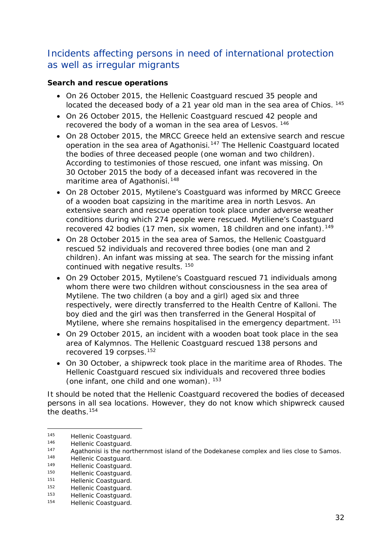## <span id="page-31-3"></span>Incidents affecting persons in need of international protection as well as irregular migrants

#### **Search and rescue operations**

- On 26 October 2015, the Hellenic Coastguard rescued 35 people and located the deceased body of a 21 year old man in the sea area of Chios. <sup>[145](#page-31-0)</sup>
- On 26 October 2015, the Hellenic Coastguard rescued 42 people and recovered the body of a woman in the sea area of Lesvos. [146](#page-31-1)
- On 28 October 2015, the MRCC Greece held an extensive search and rescue operation in the sea area of Agathonisi.<sup>[147](#page-31-2)</sup> The Hellenic Coastguard located the bodies of three deceased people (one woman and two children). According to testimonies of those rescued, one infant was missing. On 30 October 2015 the body of a deceased infant was recovered in the maritime area of Agathonisi.<sup>[148](#page-31-3)</sup>
- On 28 October 2015, Mytilene's Coastguard was informed by MRCC Greece of a wooden boat capsizing in the maritime area in north Lesvos. An extensive search and rescue operation took place under adverse weather conditions during which 274 people were rescued. Mytiliene's Coastguard recovered 42 bodies (17 men, six women, 18 children and one infant).<sup>[149](#page-31-4)</sup>
- On 28 October 2015 in the sea area of Samos, the Hellenic Coastguard rescued 52 individuals and recovered three bodies (one man and 2 children). An infant was missing at sea. The search for the missing infant continued with negative results. [150](#page-31-5)
- On 29 October 2015, Mytilene's Coastguard rescued 71 individuals among whom there were two children without consciousness in the sea area of Mytilene. The two children (a boy and a girl) aged six and three respectively, were directly transferred to the Health Centre of Kalloni. The boy died and the girl was then transferred in the General Hospital of Mytilene, where she remains hospitalised in the emergency department. <sup>[151](#page-31-6)</sup>
- On 29 October 2015, an incident with a wooden boat took place in the sea area of Kalymnos. The Hellenic Coastguard rescued 138 persons and recovered 19 corpses.<sup>152</sup>
- On 30 October, a shipwreck took place in the maritime area of Rhodes. The Hellenic Coastguard rescued six individuals and recovered three bodies (one infant, one child and one woman). [153](#page-31-8)

It should be noted that the Hellenic Coastguard recovered the bodies of deceased persons in all sea locations. However, they do not know which shipwreck caused the deaths  $154$ 

-

<span id="page-31-0"></span><sup>145</sup> Hellenic Coastguard.<br>146 Hellenic Coastguard.

<span id="page-31-1"></span><sup>146</sup> Hellenic Coastguard.<br>147 Agathonisi is the nor

<span id="page-31-2"></span><sup>147</sup> Agathonisi is the northernmost island of the Dodekanese complex and lies close to Samos.<br>148 Hollonic Coastauard

<sup>148</sup> Hellenic Coastguard.<br>149 Hellenic Coastguard

<span id="page-31-4"></span><sup>149</sup> Hellenic Coastguard.<br>150 Hellenic Coastguard.

<span id="page-31-5"></span><sup>150</sup> Hellenic Coastguard.<br>151 Hellenic Coastguard.

<span id="page-31-6"></span><sup>151</sup> Hellenic Coastguard.<br>152 Hellenic Coastguard.

<span id="page-31-7"></span><sup>152</sup> Hellenic Coastguard.<br>153 Hellenic Coastguard.

<span id="page-31-9"></span><span id="page-31-8"></span><sup>153</sup> Hellenic Coastguard.<br>154 Hellenic Coastguard. Hellenic Coastguard.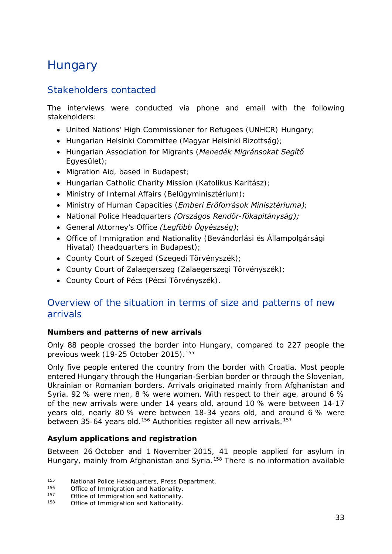## <span id="page-32-0"></span>**Hungary**

## Stakeholders contacted

The interviews were conducted via phone and email with the following stakeholders:

- United Nations' High Commissioner for Refugees (UNHCR) Hungary;
- Hungarian Helsinki Committee (*Magyar Helsinki Bizottság)*;
- Hungarian Association for Migrants (*Menedék Migránsokat Segítő Egyesület)*;
- Migration Aid, based in Budapest;
- Hungarian Catholic Charity Mission (*Katolikus Karitász);*
- Ministry of Internal Affairs (*Belügyminisztérium)*;
- Ministry of Human Capacities (*Emberi Erőforrások Minisztériuma)*;
- National Police Headquarters *(Országos Rendőr-főkapitányság);*
- General Attorney's Office *(Legfőbb Ügyészség)*;
- Office of Immigration and Nationality (*Bevándorlási és Állampolgársági Hivatal)* (headquarters in Budapest);
- County Court of Szeged (*Szegedi Törvényszék);*
- County Court of Zalaegerszeg (*Zalaegerszegi Törvényszék*);
- County Court of Pécs (*Pécsi Törvényszék)*.

## Overview of the situation in terms of size and patterns of new arrivals

#### **Numbers and patterns of new arrivals**

Only 88 people crossed the border into Hungary, compared to 227 people the previous week (19-25 October 2015).<sup>[155](#page-32-1)</sup>

Only five people entered the country from the border with Croatia. Most people entered Hungary through the Hungarian-Serbian border or through the Slovenian, Ukrainian or Romanian borders. Arrivals originated mainly from Afghanistan and Syria. 92 % were men, 8 % were women. With respect to their age, around 6 % of the new arrivals were under 14 years old, around 10 % were between 14-17 years old, nearly 80 % were between 18-34 years old, and around 6 % were between 35-64 years old.<sup>[156](#page-32-2)</sup> Authorities register all new arrivals.<sup>[157](#page-32-3)</sup>

#### **Asylum applications and registration**

Between 26 October and 1 November 2015, 41 people applied for asylum in Hungary, mainly from Afghanistan and Syria.<sup>[158](#page-32-4)</sup> There is no information available

<span id="page-32-1"></span><sup>155</sup> National Police Headquarters, Press Department.<br>156 Office of Immigration and Nationality. 155

<span id="page-32-2"></span><sup>&</sup>lt;sup>156</sup> Office of Immigration and Nationality.<br><sup>157</sup> Office of Immigration and Nationality.

<span id="page-32-3"></span><sup>&</sup>lt;sup>157</sup> Office of Immigration and Nationality.<br> $158$  Office of Immigration and Nationality.

<span id="page-32-4"></span>Office of Immigration and Nationality.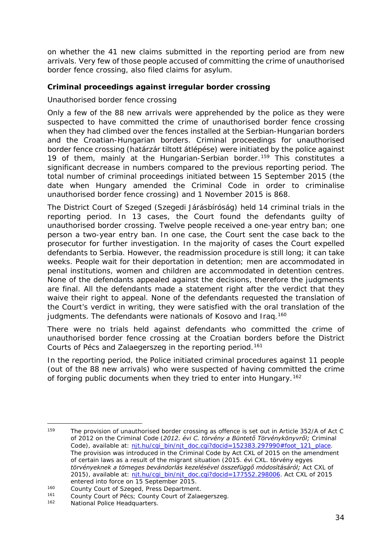on whether the 41 new claims submitted in the reporting period are from new arrivals. Very few of those people accused of committing the crime of unauthorised border fence crossing, also filed claims for asylum.

#### **Criminal proceedings against irregular border crossing**

#### *Unauthorised border fence crossing*

Only a few of the 88 new arrivals were apprehended by the police as they were suspected to have committed the crime of unauthorised border fence crossing when they had climbed over the fences installed at the Serbian-Hungarian borders and the Croatian-Hungarian borders. Criminal proceedings for unauthorised border fence crossing (*határzár tiltott átlépése*) were initiated by the police against 19 of them, mainly at the Hungarian-Serbian border.<sup>[159](#page-33-0)</sup> This constitutes a significant decrease in numbers compared to the previous reporting period. The total number of criminal proceedings initiated between 15 September 2015 (the date when Hungary amended the Criminal Code in order to criminalise unauthorised border fence crossing) and 1 November 2015 is 868.

The District Court of Szeged (*Szegedi Járásbíróság*) held 14 criminal trials in the reporting period. In 13 cases, the Court found the defendants guilty of unauthorised border crossing. Twelve people received a one-year entry ban; one person a two-year entry ban. In one case, the Court sent the case back to the prosecutor for further investigation. In the majority of cases the Court expelled defendants to Serbia. However, the readmission procedure is still long; it can take weeks. People wait for their deportation in detention; men are accommodated in penal institutions, women and children are accommodated in detention centres. None of the defendants appealed against the decisions, therefore the judgments are final. All the defendants made a statement right after the verdict that they waive their right to appeal. None of the defendants requested the translation of the Court's verdict in writing, they were satisfied with the oral translation of the judgments. The defendants were nationals of Kosovo and Iraq.<sup>[160](#page-33-1)</sup>

There were no trials held against defendants who committed the crime of unauthorised border fence crossing at the Croatian borders before the District Courts of Pécs and Zalaegerszeg in the reporting period.<sup>[161](#page-33-2)</sup>

In the reporting period, the Police initiated criminal procedures against 11 people (out of the 88 new arrivals) who were suspected of having committed the crime of forging public documents when they tried to enter into Hungary.<sup>[162](#page-33-3)</sup>

<span id="page-33-0"></span>The provision of unauthorised border crossing as offence is set out in Article 352/A of Act C of 2012 on the Criminal Code (*2012. évi C. törvény a Büntető Törvénykönyvről;* Criminal Code), available at: [njt.hu/cgi\\_bin/njt\\_doc.cgi?docid=152383.297990#foot\\_121\\_place.](http://njt.hu/cgi_bin/njt_doc.cgi?docid=152383.297990%23foot_121_place) The provision was introduced in the Criminal Code by Act CXL of 2015 on the amendment of certain laws as a result of the migrant situation (*2015. évi CXL. törvény egyes törvényeknek a tömeges bevándorlás kezelésével összefüggő módosításáról;* Act CXL of 2015), available at: [njt.hu/cgi\\_bin/njt\\_doc.cgi?docid=177552.298006.](http://njt.hu/cgi_bin/njt_doc.cgi?docid=177552.298006) Act CXL of 2015 159

<span id="page-33-1"></span>entered into force on 15 September 2015.<br>
160 County Court of Szeged, Press Department.<br>
161 County Court of Bécau County Court of Zalac

<sup>&</sup>lt;sup>161</sup> County Court of Pécs; County Court of Zalaegerszeg.<br><sup>162</sup> Mational Police Hoadquarters

<span id="page-33-3"></span><span id="page-33-2"></span>National Police Headquarters.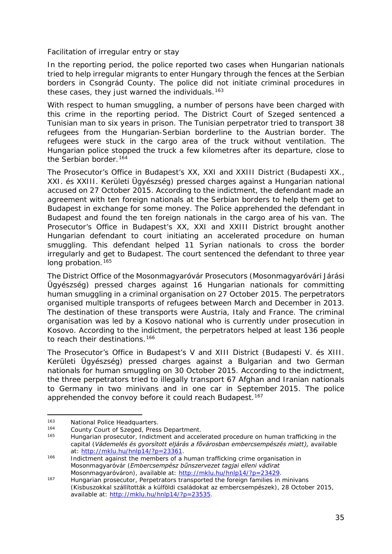#### *Facilitation of irregular entry or stay*

In the reporting period, the police reported two cases when Hungarian nationals tried to help irregular migrants to enter Hungary through the fences at the Serbian borders in Csongrád County. The police did not initiate criminal procedures in these cases, they just warned the individuals.<sup>[163](#page-34-0)</sup>

With respect to human smuggling, a number of persons have been charged with this crime in the reporting period. The District Court of Szeged sentenced a Tunisian man to six years in prison. The Tunisian perpetrator tried to transport 38 refugees from the Hungarian-Serbian borderline to the Austrian border. The refugees were stuck in the cargo area of the truck without ventilation. The Hungarian police stopped the truck a few kilometres after its departure, close to the Serbian border.<sup>[164](#page-34-1)</sup>

The Prosecutor's Office in Budapest's XX, XXI and XXIII District (*Budapesti XX., XXI. és XXIII. Kerületi Ügyészség*) pressed charges against a Hungarian national accused on 27 October 2015. According to the indictment, the defendant made an agreement with ten foreign nationals at the Serbian borders to help them get to Budapest in exchange for some money. The Police apprehended the defendant in Budapest and found the ten foreign nationals in the cargo area of his van. The Prosecutor's Office in Budapest's XX, XXI and XXIII District brought another Hungarian defendant to court initiating an accelerated procedure on human smuggling. This defendant helped 11 Syrian nationals to cross the border irregularly and get to Budapest. The court sentenced the defendant to three year long probation.<sup>[165](#page-34-2)</sup>

The District Office of the Mosonmagyaróvár Prosecutors (*Mosonmagyaróvári Járási Ügyészség)* pressed charges against 16 Hungarian nationals for committing human smuggling in a criminal organisation on 27 October 2015. The perpetrators organised multiple transports of refugees between March and December in 2013. The destination of these transports were Austria, Italy and France. The criminal organisation was led by a Kosovo national who is currently under prosecution in Kosovo. According to the indictment, the perpetrators helped at least 136 people to reach their destinations.<sup>[166](#page-34-3)</sup>

The Prosecutor's Office in Budapest's V and XIII District (*Budapesti V. és XIII. Kerületi Ügyészség)* pressed charges against a Bulgarian and two German nationals for human smuggling on 30 October 2015. According to the indictment, the three perpetrators tried to illegally transport 67 Afghan and Iranian nationals to Germany in two minivans and in one car in September 2015. The police apprehended the convoy before it could reach Budapest.<sup>[167](#page-34-4)</sup>

<sup>163</sup> National Police Headquarters.<br>164 County Court of Szogod, Proce 163

<span id="page-34-2"></span><span id="page-34-1"></span><span id="page-34-0"></span><sup>164</sup> County Court of Szeged, Press Department.

<sup>165</sup> Hungarian prosecutor, Indictment and accelerated procedure on human trafficking in the capital (*Vádemelés és gyorsított eljárás a fővárosban embercsempészés miatt), available*<br>at: http://mklu.hu/hnlp14/?p=23361.

<span id="page-34-3"></span> $166$  Indictment against the members of a human trafficking crime organisation in Mosonmagyaróvár (*Embercsempész bűnszervezet tagjai elleni vádirat* 

<span id="page-34-4"></span><sup>&</sup>lt;sup>167</sup> Hungarian prosecutor. Perpetrators transported the foreign families in minivans (*Kisbuszokkal szállították a külföldi családokat az embercsempészek),* 28 October 2015, available at: [http://mklu.hu/hnlp14/?p=23535.](http://mklu.hu/hnlp14/?p=23535)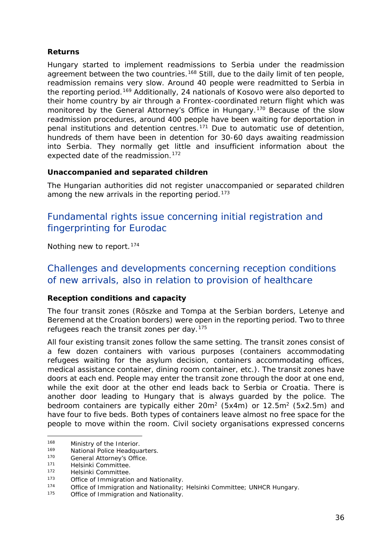#### <span id="page-35-1"></span>**Returns**

Hungary started to implement readmissions to Serbia under the readmission agreement between the two countries.<sup>[168](#page-35-0)</sup> Still, due to the daily limit of ten people, readmission remains very slow. Around 40 people were readmitted to Serbia in the reporting period.<sup>[169](#page-35-1)</sup> Additionally, 24 nationals of Kosovo were also deported to their home country by air through a Frontex-coordinated return flight which was monitored by the General Attorney's Office in Hungary.[170](#page-35-1) Because of the slow readmission procedures, around 400 people have been waiting for deportation in penal institutions and detention centres.[171](#page-35-1) Due to automatic use of detention, hundreds of them have been in detention for 30-60 days awaiting readmission into Serbia. They normally get little and insufficient information about the expected date of the readmission.<sup>172</sup>

#### **Unaccompanied and separated children**

The Hungarian authorities did not register unaccompanied or separated children among the new arrivals in the reporting period.<sup>[173](#page-35-2)</sup>

## Fundamental rights issue concerning initial registration and fingerprinting for Eurodac

Nothing new to report.<sup>[174](#page-35-3)</sup>

### Challenges and developments concerning reception conditions of new arrivals, also in relation to provision of healthcare

#### **Reception conditions and capacity**

The four transit zones (Röszke and Tompa at the Serbian borders, Letenye and Beremend at the Croation borders) were open in the reporting period. Two to three refugees reach the transit zones per day.<sup>[175](#page-35-4)</sup>

All four existing transit zones follow the same setting. The transit zones consist of a few dozen containers with various purposes (containers accommodating refugees waiting for the asylum decision, containers accommodating offices, medical assistance container, dining room container, etc.). The transit zones have doors at each end. People may enter the transit zone through the door at one end, while the exit door at the other end leads back to Serbia or Croatia. There is another door leading to Hungary that is always guarded by the police. The bedroom containers are typically either  $20m^2$  (5x4m) or 12.5m<sup>2</sup> (5x2.5m) and have four to five beds. Both types of containers leave almost no free space for the people to move within the room. Civil society organisations expressed concerns

<span id="page-35-0"></span><sup>168</sup> Ministry of the Interior.<br>169 Metional Police Headque 168

<sup>169</sup> National Police Headquarters.<br>170 Conoral Attornovic Office

<sup>170</sup> General Attorney's Office.

<sup>171</sup> Helsinki Committee.<br>172 Helsinki Committee.

<sup>&</sup>lt;sup>172</sup> Helsinki Committee.<br><sup>173</sup> Office of Immigration

<span id="page-35-2"></span><sup>&</sup>lt;sup>173</sup> Office of Immigration and Nationality.<br>
<sup>174</sup> Office of Immigration and Nationality.

<span id="page-35-3"></span><sup>174</sup> Office of Immigration and Nationality; Helsinki Committee; UNHCR Hungary.<br>175 Office of Immigration and Nationality.

<span id="page-35-4"></span>Office of Immigration and Nationality.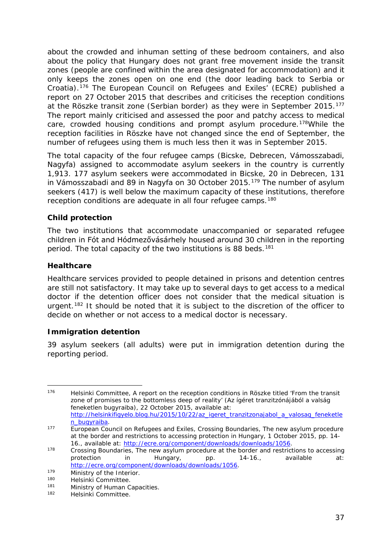<span id="page-36-4"></span>about the crowded and inhuman setting of these bedroom containers, and also about the policy that Hungary does not grant free movement inside the transit zones (people are confined within the area designated for accommodation) and it only keeps the zones open on one end (the door leading back to Serbia or Croatia).[176](#page-36-0) The European Council on Refugees and Exiles' (ECRE) published a report on 27 October 2015 that describes and criticises the reception conditions at the Röszke transit zone (Serbian border) as they were in September 2015.[177](#page-36-1) The report mainly criticised and assessed the poor and patchy access to medical care, crowded housing conditions and prompt asylum procedure.<sup>178</sup>While the reception facilities in Röszke have not changed since the end of September, the number of refugees using them is much less then it was in September 2015.

The total capacity of the four refugee camps (Bicske, Debrecen, Vámosszabadi, Nagyfa) assigned to accommodate asylum seekers in the country is currently 1,913. 177 asylum seekers were accommodated in Bicske, 20 in Debrecen, 131 in Vámosszabadi and 89 in Nagyfa on 30 October 2015.<sup>[179](#page-36-3)</sup> The number of asylum seekers (417) is well below the maximum capacity of these institutions, therefore reception conditions are adequate in all four refugee camps.<sup>180</sup>

#### **Child protection**

The two institutions that accommodate unaccompanied or separated refugee children in Fót and Hódmezővásárhely housed around 30 children in the reporting period. The total capacity of the two institutions is 88 beds.<sup>[181](#page-36-5)</sup>

#### **Healthcare**

Healthcare services provided to people detained in prisons and detention centres are still not satisfactory. It may take up to several days to get access to a medical doctor if the detention officer does not consider that the medical situation is urgent.<sup>[182](#page-36-6)</sup> It should be noted that it is subject to the discretion of the officer to decide on whether or not access to a medical doctor is necessary.

#### **Immigration detention**

39 asylum seekers (all adults) were put in immigration detention during the reporting period.

<span id="page-36-0"></span><sup>176</sup> Helsinki Committee, A report on the reception conditions in Röszke titled 'From the transit zone of promises to the bottomless deep of reality' (*Az ígéret tranzitzónájából a valság feneketlen bugyraiba),* 22 October 2015, available at: [http://helsinkifigyelo.blog.hu/2015/10/22/az\\_igeret\\_tranzitzonajabol\\_a\\_valosag\\_feneketle](http://helsinkifigyelo.blog.hu/2015/10/22/az_igeret_tranzitzonajabol_a_valosag_feneketlen_bugyraiba) 176

<span id="page-36-1"></span>[n\\_bugyraiba.](http://helsinkifigyelo.blog.hu/2015/10/22/az_igeret_tranzitzonajabol_a_valosag_feneketlen_bugyraiba) 177 European Council on Refugees and Exiles, *Crossing Boundaries, The new asylum procedure at the border and restrictions to accessing protection in Hungary,* 1 October 2015, pp. 14-<br>16., available at: http://ecre.org/component/downloads/downloads/1056.

<span id="page-36-2"></span><sup>&</sup>lt;sup>178</sup> Crossing Boundaries, *The new asylum procedure at the border and restrictions to accessing protection in Hungary,* pp. 14-16., available at: [http://ecre.org/component/downloads/downloads/1056.](http://ecre.org/component/downloads/downloads/1056)<br>
Ministry of the Interior.<br>
<sup>180</sup> Holsinki Committee.

<span id="page-36-3"></span><sup>180</sup> Helsinki Committee.<br>181 Ministry of Human C

<span id="page-36-6"></span><span id="page-36-5"></span><sup>181</sup> Ministry of Human Capacities.<br>182 Holsinki Committee

Helsinki Committee.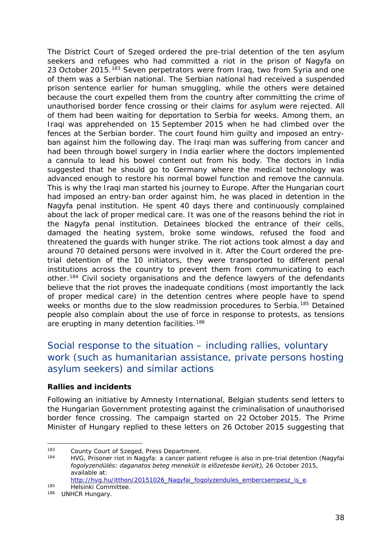<span id="page-37-1"></span>The District Court of Szeged ordered the pre-trial detention of the ten asylum seekers and refugees who had committed a riot in the prison of Nagyfa on 23 October 2015.<sup>[183](#page-37-0)</sup> Seven perpetrators were from Iraq, two from Syria and one of them was a Serbian national. The Serbian national had received a suspended prison sentence earlier for human smuggling, while the others were detained because the court expelled them from the country after committing the crime of unauthorised border fence crossing or their claims for asylum were rejected. All of them had been waiting for deportation to Serbia for weeks. Among them, an Iraqi was apprehended on 15 September 2015 when he had climbed over the fences at the Serbian border. The court found him guilty and imposed an entryban against him the following day. The Iraqi man was suffering from cancer and had been through bowel surgery in India earlier where the doctors implemented a cannula to lead his bowel content out from his body. The doctors in India suggested that he should go to Germany where the medical technology was advanced enough to restore his normal bowel function and remove the cannula. This is why the Iraqi man started his journey to Europe. After the Hungarian court had imposed an entry-ban order against him, he was placed in detention in the Nagyfa penal institution. He spent 40 days there and continuously complained about the lack of proper medical care. It was one of the reasons behind the riot in the Nagyfa penal institution. Detainees blocked the entrance of their cells, damaged the heating system, broke some windows, refused the food and threatened the guards with hunger strike. The riot actions took almost a day and around 70 detained persons were involved in it. After the Court ordered the pretrial detention of the 10 initiators, they were transported to different penal institutions across the country to prevent them from communicating to each other.[184](#page-37-1) Civil society organisations and the defence lawyers of the defendants believe that the riot proves the inadequate conditions (most importantly the lack of proper medical care) in the detention centres where people have to spend weeks or months due to the slow readmission procedures to Serbia.<sup>[185](#page-37-1)</sup> Detained people also complain about the use of force in response to protests, as tensions are erupting in many detention facilities.<sup>[186](#page-37-1)</sup>

## Social response to the situation – including rallies, voluntary work (such as humanitarian assistance, private persons hosting asylum seekers) and similar actions

#### **Rallies and incidents**

Following an initiative by Amnesty International, Belgian students send letters to the Hungarian Government protesting against the criminalisation of unauthorised border fence crossing. The campaign started on 22 October 2015. The Prime Minister of Hungary replied to these letters on 26 October 2015 suggesting that

<span id="page-37-0"></span><sup>183</sup> County Court of Szeged, Press Department.<br>184 LIVC Prisoner rist in Negufa: a senecr patient j.

<sup>184</sup> HVG, Prisoner riot in Nagyfa: a cancer patient refugee is also in pre-trial detention (*Nagyfai fogolyzendülés: daganatos beteg menekült is előzetesbe került),* 26 October 2015, available at:

[http://hvg.hu/itthon/20151026\\_Nagyfai\\_fogolyzendules\\_embercsempesz\\_is\\_e.](http://hvg.hu/itthon/20151026_Nagyfai_fogolyzendules_embercsempesz_is_e)<br>
Helsinki Committee.

<sup>186</sup> UNHCR Hungary.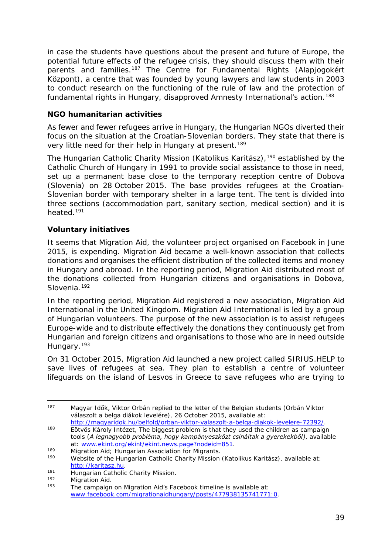<span id="page-38-4"></span>in case the students have questions about the present and future of Europe, the potential future effects of the refugee crisis, they should discuss them with their parents and families.[187](#page-38-0) The Centre for Fundamental Rights (*Alapjogokért Központ)*, a centre that was founded by young lawyers and law students in 2003 to conduct research on the functioning of the rule of law and the protection of fundamental rights in Hungary, disapproved Amnesty International's action.<sup>[188](#page-38-1)</sup>

#### **NGO humanitarian activities**

As fewer and fewer refugees arrive in Hungary, the Hungarian NGOs diverted their focus on the situation at the Croatian-Slovenian borders. They state that there is very little need for their help in Hungary at present.<sup>189</sup>

The Hungarian Catholic Charity Mission (*Katolikus Karitász)*,*[190](#page-38-3)* established by the Catholic Church of Hungary in 1991 to provide social assistance to those in need, set up a permanent base close to the temporary reception centre of Dobova (Slovenia) on 28 October 2015. The base provides refugees at the Croatian-Slovenian border with temporary shelter in a large tent. The tent is divided into three sections (accommodation part, sanitary section, medical section) and it is heated.[191](#page-38-4) 

#### **Voluntary initiatives**

It seems that Migration Aid, the volunteer project organised on Facebook in June 2015, is expending. Migration Aid became a well-known association that collects donations and organises the efficient distribution of the collected items and money in Hungary and abroad. In the reporting period, Migration Aid distributed most of the donations collected from Hungarian citizens and organisations in Dobova, Slovenia.<sup>[192](#page-38-5)</sup>

In the reporting period, Migration Aid registered a new association, Migration Aid International in the United Kingdom. Migration Aid International is led by a group of Hungarian volunteers. The purpose of the new association is to assist refugees Europe-wide and to distribute effectively the donations they continuously get from Hungarian and foreign citizens and organisations to those who are in need outside Hungary.<sup>[193](#page-38-6)</sup>

On 31 October 2015, Migration Aid launched a new project called SIRIUS.HELP to save lives of refugees at sea. They plan to establish a centre of volunteer lifeguards on the island of Lesvos in Greece to save refugees who are trying to

<span id="page-38-0"></span><sup>187</sup> Magyar Idők, Viktor Orbán replied to the letter of the Belgian students (*Orbán Viktor válaszolt a belga diákok levelére)*, 26 October 2015, available at: 187

<span id="page-38-1"></span>[http://magyaridok.hu/belfold/orban-viktor-valaszolt-a-belga-diakok-levelere-72392/.](http://magyaridok.hu/belfold/orban-viktor-valaszolt-a-belga-diakok-levelere-72392/)<br>188 Eötvös Károly Intézet, The biggest problem is that they used the children as campaign tools (*A legnagyobb probléma, hogy kampányeszközt csináltak a gyerekekből)*, available at: [www.ekint.org/ekint/ekint.news.page?nodeid=851.](http://www.ekint.org/ekint/ekint.news.page?nodeid=851)

<span id="page-38-2"></span><sup>189</sup> Migration Aid; Hungarian Association for Migrants.<br>190 Mobelto of the Hungarian Catholic Charity Mission.

<span id="page-38-3"></span><sup>190</sup> Website of the Hungarian Catholic Charity Mission (*Katolikus Karitász)*, available at: [http://karitasz.hu.](http://karitasz.hu/)<br>
Hungarian Catholic Charity Mission.<br>
192 Migration Aid

<span id="page-38-6"></span><span id="page-38-5"></span><sup>192</sup> Migration Aid.<br>193 The campaign on Migration Aid's Facebook timeline is available at: [www.facebook.com/migrationaidhungary/posts/477938135741771:0.](http://www.facebook.com/migrationaidhungary/posts/477938135741771:0)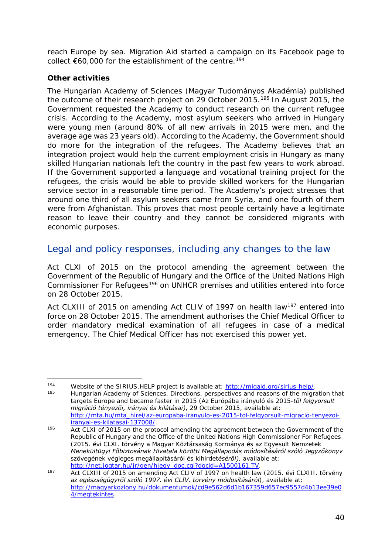reach Europe by sea. Migration Aid started a campaign on its Facebook page to collect  $€60,000$  for the establishment of the centre.<sup>[194](#page-39-0)</sup>

#### **Other activities**

-

The Hungarian Academy of Sciences (*Magyar Tudományos Akadémia*) published the outcome of their research project on 29 October 2015.<sup>[195](#page-39-1)</sup> In August 2015, the Government requested the Academy to conduct research on the current refugee crisis. According to the Academy, most asylum seekers who arrived in Hungary were young men (around 80% of all new arrivals in 2015 were men, and the average age was 23 years old). According to the Academy, the Government should do more for the integration of the refugees. The Academy believes that an integration project would help the current employment crisis in Hungary as many skilled Hungarian nationals left the country in the past few years to work abroad. If the Government supported a language and vocational training project for the refugees, the crisis would be able to provide skilled workers for the Hungarian service sector in a reasonable time period. The Academy's project stresses that around one third of all asylum seekers came from Syria, and one fourth of them were from Afghanistan. This proves that most people certainly have a legitimate reason to leave their country and they cannot be considered migrants with economic purposes.

### Legal and policy responses, including any changes to the law

Act CLXI of 2015 on the protocol amending the agreement between the Government of the Republic of Hungary and the Office of the United Nations High Commissioner For Refugees<sup>[196](#page-39-2)</sup> on UNHCR premises and utilities entered into force on 28 October 2015.

Act CLXIII of 2015 on amending Act CLIV of 1997 on health law<sup>[197](#page-39-3)</sup> entered into force on 28 October 2015. The amendment authorises the Chief Medical Officer to order mandatory medical examination of all refugees in case of a medical emergency. The Chief Medical Officer has not exercised this power yet.

<span id="page-39-1"></span><span id="page-39-0"></span><sup>194</sup> Website of the SIRIUS.HELP project is available at:  $\underline{http://migaid.org/sirius-help/">http://migaid.org/sirius-help/$ .<br>
Hungarian Academy of Sciences, Directions, perspectives and reasons of the migration that targets Europe and became faster in 2015 (*Az Európába irányuló és 2015-től felgyorsult* 

*migráció tényezői, irányai és kilátásai)*, 29 October 2015, available at: http://mta.hu/mta\_hirei/az-europaba-iranyulo-es-2015-tol-felgyorsult-migracio-tenyezoi-<br>iranyai-es-kilatasai-137008/.

<span id="page-39-2"></span>itality is a manufactured method of the protocol amending the agreement between the Government of the 1960. Republic of Hungary and the Office of the United Nations High Commissioner For Refugees (*2015. évi CLXI. törvény a Magyar Köztársaság Kormánya és az Egyesült Nemzetek Menekültügyi Főbiztosának Hivatala közötti Megállapodás módosításáról szóló Jegyzőkönyv szövegének végleges megállapításáról és kihirdetéséről)*, available at:

<span id="page-39-3"></span>http://net.jogtar.hu/jpegy\_doc.com/jpegy\_doc.com/health law (2015. évi CLXIII. törvény Act CLXIII of 2015 on amending Act CLIV of 1997 on health law (2015. évi CLXIII. törvény *az egészségügyről szóló 1997. évi CLIV. törvény módosításáról*), available at: [http://magyarkozlony.hu/dokumentumok/cd9e562d6d1b167359d657ec9557d4b13ee39e0](http://magyarkozlony.hu/dokumentumok/cd9e562d6d1b167359d657ec9557d4b13ee39e04/megtekintes) [4/megtekintes.](http://magyarkozlony.hu/dokumentumok/cd9e562d6d1b167359d657ec9557d4b13ee39e04/megtekintes)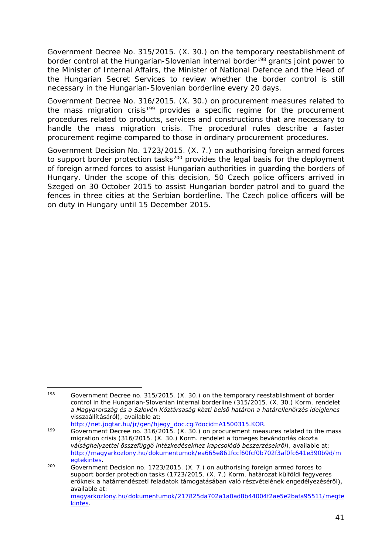Government Decree No. 315/2015. (X. 30.) on the temporary reestablishment of border control at the Hungarian-Slovenian internal border<sup>[198](#page-40-0)</sup> grants joint power to the Minister of Internal Affairs, the Minister of National Defence and the Head of the Hungarian Secret Services to review whether the border control is still necessary in the Hungarian-Slovenian borderline every 20 days.

Government Decree No. 316/2015. (X. 30.) on procurement measures related to the mass migration crisis<sup>[199](#page-40-1)</sup> provides a specific regime for the procurement procedures related to products, services and constructions that are necessary to handle the mass migration crisis. The procedural rules describe a faster procurement regime compared to those in ordinary procurement procedures.

Government Decision No. 1723/2015. (X. 7.) on authorising foreign armed forces to support border protection tasks<sup>[200](#page-40-2)</sup> provides the legal basis for the deployment of foreign armed forces to assist Hungarian authorities in guarding the borders of Hungary. Under the scope of this decision, 50 Czech police officers arrived in Szeged on 30 October 2015 to assist Hungarian border patrol and to guard the fences in three cities at the Serbian borderline. The Czech police officers will be on duty in Hungary until 15 December 2015.

<span id="page-40-0"></span>Government Decree no. 315/2015. (X. 30.) on the temporary reestablishment of border control in the Hungarian-Slovenian internal borderline (*315/2015. (X. 30.) Korm. rendelet a Magyarország és a Szlovén Köztársaság közti belső határon a határellenőrzés ideiglenes*  visszaállításáról), available at:<br>http://net.jogtar.hu/jr/gen/hjegy\_doc.cgi?docid=A1500315.KOR. 198

<span id="page-40-1"></span><sup>199</sup> Government Decree no. 316/2015. (X. 30.) on procurement measures related to the mass migration crisis (*316/2015. (X. 30.) Korm. rendelet a tömeges bevándorlás okozta válsághelyzettel összefüggő intézkedésekhez kapcsolódó beszerzésekről*), available at: [http://magyarkozlony.hu/dokumentumok/ea665e861fccf60fcf0b702f3af0fc641e390b9d/m](http://magyarkozlony.hu/dokumentumok/ea665e861fccf60fcf0b702f3af0fc641e390b9d/megtekintes)

<span id="page-40-2"></span> $\overline{\text{Government}}$  Decision no. 1723/2015. (X. 7.) on authorising foreign armed forces to support border protection tasks (1723/2015. (X. 7.) Korm. határozat külföldi fegyveres erőknek a határrendészeti feladatok támogatásában való részvételének engedélyezéséről), available at: [magyarkozlony.hu/dokumentumok/217825da702a1a0ad8b44004f2ae5e2bafa95511/megte](http://magyarkozlony.hu/dokumentumok/217825da702a1a0ad8b44004f2ae5e2bafa95511/megtekintes) [kintes.](http://magyarkozlony.hu/dokumentumok/217825da702a1a0ad8b44004f2ae5e2bafa95511/megtekintes)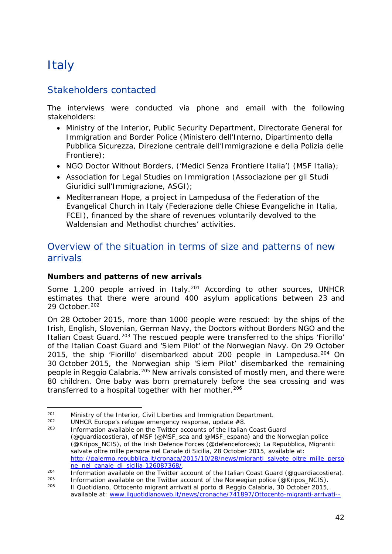## <span id="page-41-0"></span>**Italy**

## Stakeholders contacted

The interviews were conducted via phone and email with the following stakeholders:

- Ministry of the Interior, Public Security Department, Directorate General for Immigration and Border Police (Ministero dell'Interno, Dipartimento della Pubblica Sicurezza, Direzione centrale dell'Immigrazione e della Polizia delle Frontiere);
- NGO Doctor Without Borders, ('Medici Senza Frontiere Italia') (MSF Italia);
- Association for Legal Studies on Immigration (Associazione per gli Studi Giuridici sull'Immigrazione, ASGI);
- Mediterranean Hope, a project in Lampedusa of the Federation of the Evangelical Church in Italy (Federazione delle Chiese Evangeliche in Italia, FCEI), financed by the share of revenues voluntarily devolved to the Waldensian and Methodist churches' activities.

## Overview of the situation in terms of size and patterns of new arrivals

#### **Numbers and patterns of new arrivals**

Some 1,200 people arrived in Italy.<sup>[201](#page-41-1)</sup> According to other sources, UNHCR estimates that there were around 400 asylum applications between 23 and 29 October.<sup>[202](#page-41-2)</sup>

On 28 October 2015, more than 1000 people were rescued: by the ships of the Irish, English, Slovenian, German Navy, the Doctors without Borders NGO and the Italian Coast Guard.<sup>[203](#page-41-3)</sup> The rescued people were transferred to the ships 'Fiorillo' of the Italian Coast Guard and 'Siem Pilot' of the Norwegian Navy. On 29 October 2015, the ship 'Fiorillo' disembarked about 200 people in Lampedusa.<sup>[204](#page-41-4)</sup> On 30 October 2015, the Norwegian ship 'Siem Pilot' disembarked the remaining people in Reggio Calabria.[205](#page-41-5) New arrivals consisted of mostly men, and there were 80 children. One baby was born prematurely before the sea crossing and was transferred to a hospital together with her mother.<sup>[206](#page-41-6)</sup>

<sup>&</sup>lt;sup>201</sup> Ministry of the Interior, Civil Liberties and Immigration Department.  $201$ 

<span id="page-41-2"></span><span id="page-41-1"></span><sup>&</sup>lt;sup>202</sup> UNHCR Europe's refugee emergency response, update  $#8$ .

<span id="page-41-3"></span>Information available on the Twitter accounts of the Italian Coast Guard (@guardiacostiera), of MSF (@MSF\_sea and [@MSF\\_espana\)](https://twitter.com/MSF_espana) and the Norwegian police [\(@Kripos\\_NCIS\)](https://twitter.com/Kripos_NCIS), of the Irish Defence Forces [\(@defenceforces\)](https://twitter.com/defenceforces); La Repubblica, Migranti: *salvate oltre mille persone nel Canale di Sicilia*, 28 October 2015, available at: [http://palermo.repubblica.it/cronaca/2015/10/28/news/migranti\\_salvete\\_oltre\\_mille\\_perso](http://palermo.repubblica.it/cronaca/2015/10/28/news/migranti_salvete_oltre_mille_persone_nel_canale_di_sicilia-126087368/) ne nel canale di sicilia-126087368/.

<span id="page-41-4"></span><sup>204</sup> Information available on the Twitter account of the Italian Coast Guard (@guardiacostiera).<br>205 Information available on the Twitter account of the Nerwogian police (@Kripes NCIS)

<span id="page-41-6"></span><span id="page-41-5"></span><sup>&</sup>lt;sup>205</sup> Information available on the Twitter account of the Norwegian police [\(@Kripos\\_NCIS\)](https://twitter.com/Kripos_NCIS).<br><sup>206</sup> ILOughidiana, Ottocante migrant errivati al porto di Baggio Calabria, 20 October 2015. <sup>206</sup> Il Quotidiano*, Ottocento migrant arrivati al porto di Reggio Calabria*, 30 October 2015, available at: [www.ilquotidianoweb.it/news/cronache/741897/Ottocento-migranti-arrivati--](http://www.ilquotidianoweb.it/news/cronache/741897/Ottocento-migranti-arrivati--al-porto.html)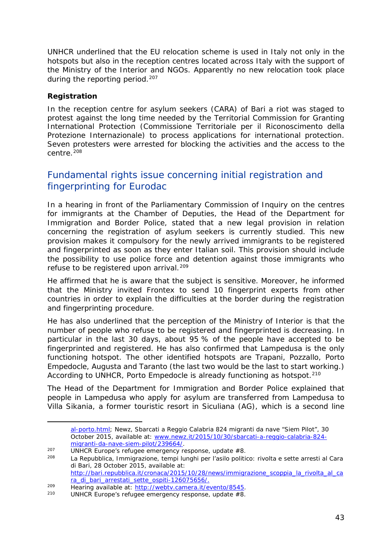UNHCR underlined that the EU relocation scheme is used in Italy not only in the hotspots but also in the reception centres located across Italy with the support of the Ministry of the Interior and NGOs. Apparently no new relocation took place during the reporting period.<sup>[207](#page-42-0)</sup>

#### **Registration**

-

In the reception centre for asylum seekers (CARA) of Bari a riot was staged to protest against the long time needed by the Territorial Commission for Granting International Protection (*Commissione Territoriale per il Riconoscimento della Protezione Internazionale*) to process applications for international protection. Seven protesters were arrested for blocking the activities and the access to the centre.<sup>[208](#page-42-1)</sup>

## Fundamental rights issue concerning initial registration and fingerprinting for Eurodac

In a hearing in front of the Parliamentary Commission of Inquiry on the centres for immigrants at the Chamber of Deputies, the Head of the Department for Immigration and Border Police, stated that a new legal provision in relation concerning the registration of asylum seekers is currently studied. This new provision makes it compulsory for the newly arrived immigrants to be registered and fingerprinted as soon as they enter Italian soil. This provision should include the possibility to use police force and detention against those immigrants who refuse to be registered upon arrival.<sup>[209](#page-42-2)</sup>

He affirmed that he is aware that the subject is sensitive. Moreover, he informed that the Ministry invited Frontex to send 10 fingerprint experts from other countries in order to explain the difficulties at the border during the registration and fingerprinting procedure.

He has also underlined that the perception of the Ministry of Interior is that the number of people who refuse to be registered and fingerprinted is decreasing. In particular in the last 30 days, about 95 % of the people have accepted to be fingerprinted and registered. He has also confirmed that Lampedusa is the only functioning hotspot. The other identified hotspots are Trapani, Pozzallo, Porto Empedocle, Augusta and Taranto (the last two would be the last to start working.) According to UNHCR, Porto Empedocle is already functioning as hotspot.<sup>[210](#page-42-3)</sup>

The Head of the Department for Immigration and Border Police explained that people in Lampedusa who apply for asylum are transferred from Lampedusa to Villa Sikania, a former touristic resort in Siculiana (AG), which is a second line

[al-porto.html;](http://www.ilquotidianoweb.it/news/cronache/741897/Ottocento-migranti-arrivati--al-porto.html) Newz, *Sbarcati a Reggio Calabria 824 migranti da nave "Siem Pilot",* 30 October 2015, available at: [www.newz.it/2015/10/30/sbarcati-a-reggio-calabria-824](http://www.newz.it/2015/10/30/sbarcati-a-reggio-calabria-824-migranti-da-nave-siem-pilot/239664/) [migranti-da-nave-siem-pilot/239664/.](http://www.newz.it/2015/10/30/sbarcati-a-reggio-calabria-824-migranti-da-nave-siem-pilot/239664/)

<span id="page-42-0"></span><sup>207</sup> UNHCR Europe's refugee emergency response, update #8.

<span id="page-42-1"></span>La Repubblica, *Immigrazione, tempi lunghi per l'asilo politico: rivolta e sette arresti al Cara di Bari,* 28 October 2015, available at: [http://bari.repubblica.it/cronaca/2015/10/28/news/immigrazione\\_scoppia\\_la\\_rivolta\\_al\\_ca](http://bari.repubblica.it/cronaca/2015/10/28/news/immigrazione_scoppia_la_rivolta_al_cara_di_bari_arrestati_sette_ospiti-126075656/) [ra\\_di\\_bari\\_arrestati\\_sette\\_ospiti-126075656/.](http://bari.repubblica.it/cronaca/2015/10/28/news/immigrazione_scoppia_la_rivolta_al_cara_di_bari_arrestati_sette_ospiti-126075656/)

<span id="page-42-2"></span><sup>209</sup> Hearing available at: [http://webtv.camera.it/evento/8545.](http://webtv.camera.it/evento/8545)<br>210 HINHCB Europe's refugee emergency response undate #9

<span id="page-42-3"></span>UNHCR Europe's refugee emergency response, update  $#8$ .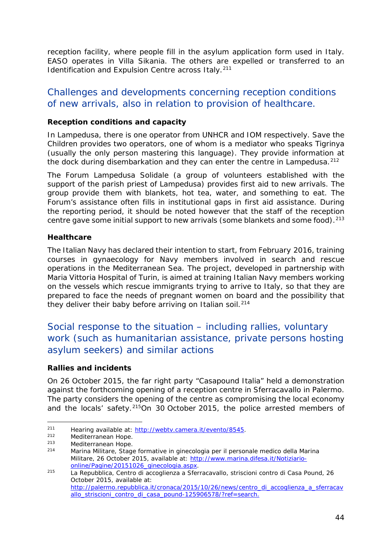reception facility, where people fill in the asylum application form used in Italy. EASO operates in Villa Sikania. The others are expelled or transferred to an Identification and Expulsion Centre across Italy.<sup>[211](#page-43-0)</sup>

### Challenges and developments concerning reception conditions of new arrivals, also in relation to provision of healthcare.

#### **Reception conditions and capacity**

In Lampedusa, there is one operator from UNHCR and IOM respectively. Save the Children provides two operators, one of whom is a mediator who speaks Tigrinya (usually the only person mastering this language). They provide information at the dock during disembarkation and they can enter the centre in Lampedusa.<sup>[212](#page-43-1)</sup>

The *Forum Lampedusa Solidale* (a group of volunteers established with the support of the parish priest of Lampedusa) provides first aid to new arrivals. The group provide them with blankets, hot tea, water, and something to eat. The Forum's assistance often fills in institutional gaps in first aid assistance. During the reporting period, it should be noted however that the staff of the reception centre gave some initial support to new arrivals (some blankets and some food).<sup>[213](#page-43-2)</sup>

#### **Healthcare**

The Italian Navy has declared their intention to start, from February 2016, training courses in gynaecology for Navy members involved in search and rescue operations in the Mediterranean Sea. The project, developed in partnership with Maria Vittoria Hospital of Turin, is aimed at training Italian Navy members working on the vessels which rescue immigrants trying to arrive to Italy, so that they are prepared to face the needs of pregnant women on board and the possibility that they deliver their baby before arriving on Italian soil.<sup>[214](#page-43-3)</sup>

### Social response to the situation – including rallies, voluntary work (such as humanitarian assistance, private persons hosting asylum seekers) and similar actions

#### **Rallies and incidents**

On 26 October 2015, the far right party "Casapound Italia" held a demonstration against the forthcoming opening of a reception centre in Sferracavallo in Palermo. The party considers the opening of the centre as compromising the local economy and the locals' safety.[215](#page-43-4)On 30 October 2015, the police arrested members of

<span id="page-43-0"></span><sup>211</sup> Hearing available at: [http://webtv.camera.it/evento/8545.](http://webtv.camera.it/evento/8545)  $211$ 

<span id="page-43-1"></span> $212$  Mediterranean Hope.<br> $213$  Mediterranean Hope.

<span id="page-43-2"></span><sup>&</sup>lt;sup>213</sup> Mediterranean Hope.<br><sup>214</sup> Merina Militare, Stag

<span id="page-43-3"></span><sup>214</sup> Marina Militare, *Stage formative in ginecologia per il personale medico della Marina Militare,* 26 October 2015, available at: [http://www.marina.difesa.it/Notiziario](http://www.marina.difesa.it/Notiziario-online/Pagine/20151026_ginecologia.aspx)[online/Pagine/20151026\\_ginecologia.aspx.](http://www.marina.difesa.it/Notiziario-online/Pagine/20151026_ginecologia.aspx)

<span id="page-43-4"></span><sup>215</sup> La Repubblica, *Centro di accoglienza a Sferracavallo, striscioni contro di Casa Pound,* 26 October 2015, available at: [http://palermo.repubblica.it/cronaca/2015/10/26/news/centro\\_di\\_accoglienza\\_a\\_sferracav](http://palermo.repubblica.it/cronaca/2015/10/26/news/centro_di_accoglienza_a_sferracavallo_striscioni_contro_di_casa_pound-125906578/?ref=search) [allo\\_striscioni\\_contro\\_di\\_casa\\_pound-125906578/?ref=search.](http://palermo.repubblica.it/cronaca/2015/10/26/news/centro_di_accoglienza_a_sferracavallo_striscioni_contro_di_casa_pound-125906578/?ref=search)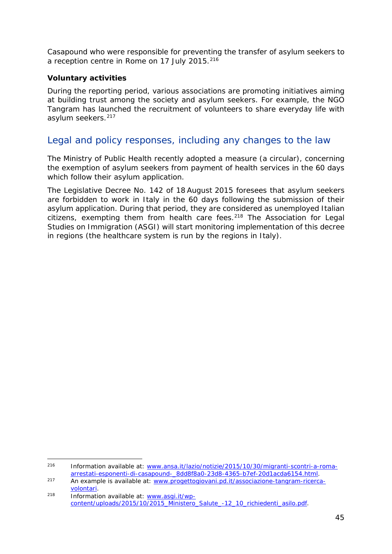Casapound who were responsible for preventing the transfer of asylum seekers to a reception centre in Rome on 17 July 2015.<sup>[216](#page-44-0)</sup>

#### **Voluntary activities**

During the reporting period, various associations are promoting initiatives aiming at building trust among the society and asylum seekers. For example, the NGO Tangram has launched the recruitment of volunteers to share everyday life with asylum seekers.[217](#page-44-1)

### Legal and policy responses, including any changes to the law

The Ministry of Public Health recently adopted a measure (a *circular*), concerning the exemption of asylum seekers from payment of health services in the 60 days which follow their asylum application.

The Legislative Decree No. 142 of 18 August 2015 foresees that asylum seekers are forbidden to work in Italy in the 60 days following the submission of their asylum application. During that period, they are considered as unemployed Italian citizens, exempting them from health care fees. $218$  The Association for Legal Studies on Immigration (ASGI) will start monitoring implementation of this decree in regions (the healthcare system is run by the regions in Italy).

<span id="page-44-0"></span><sup>216</sup> Information available at: [www.ansa.it/lazio/notizie/2015/10/30/migranti-scontri-a-roma](http://www.ansa.it/lazio/notizie/2015/10/30/migranti-scontri-a-roma-arrestati-esponenti-di-casapound-_8dd8f8a0-23d8-4365-b7ef-20d1acda6154.html)[arrestati-esponenti-di-casapound-\\_8dd8f8a0-23d8-4365-b7ef-20d1acda6154.html.](http://www.ansa.it/lazio/notizie/2015/10/30/migranti-scontri-a-roma-arrestati-esponenti-di-casapound-_8dd8f8a0-23d8-4365-b7ef-20d1acda6154.html) 216

<span id="page-44-1"></span><sup>217</sup> An example is available at: [www.progettogiovani.pd.it/associazione-tangram-ricerca](http://www.progettogiovani.pd.it/associazione-tangram-ricerca-volontari)[volontari.](http://www.progettogiovani.pd.it/associazione-tangram-ricerca-volontari) 218 Information available at: [www.asgi.it/wp-](http://www.asgi.it/wp-content/uploads/2015/10/2015_Ministero_Salute_-12_10_richiedenti_asilo.pdf)

<span id="page-44-2"></span>[content/uploads/2015/10/2015\\_Ministero\\_Salute\\_-12\\_10\\_richiedenti\\_asilo.pdf.](http://www.asgi.it/wp-content/uploads/2015/10/2015_Ministero_Salute_-12_10_richiedenti_asilo.pdf)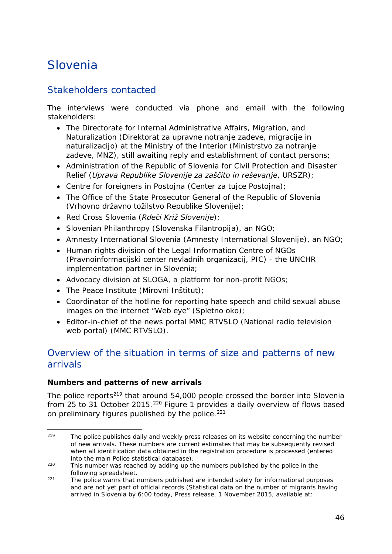## <span id="page-45-0"></span>Slovenia

## Stakeholders contacted

The interviews were conducted via phone and email with the following stakeholders:

- The Directorate for Internal Administrative Affairs, Migration, and Naturalization (*Direktorat za upravne notranje zadeve, migracije in naturalizacijo*) at the Ministry of the Interior (*Ministrstvo za notranje zadeve*, *MNZ*), still awaiting reply and establishment of contact persons;
- Administration of the Republic of Slovenia for Civil Protection and Disaster Relief (*Uprava Republike Slovenije za zaščito in reševanje*, *URSZR*);
- Centre for foreigners in Postojna (*Center za tujce Postojna*);
- The Office of the State Prosecutor General of the Republic of Slovenia (*Vrhovno državno tožilstvo Republike Slovenije*);
- Red Cross Slovenia (*Rdeči Križ Slovenije*);
- Slovenian Philanthropy (*Slovenska Filantropija*), an NGO;
- Amnesty International Slovenia (*Amnesty International Slovenije*), an NGO;
- Human rights division of the Legal Information Centre of NGOs (*Pravnoinformacijski center nevladnih organizacij, PIC*) - the UNCHR implementation partner in Slovenia;
- Advocacy division at SLOGA, a platform for non-profit NGOs;
- The Peace Institute (*Mirovni Inštitut*);
- Coordinator of the hotline for reporting hate speech and child sexual abuse images on the internet "Web eye" (*Spletno oko*);
- Editor-in-chief of the news portal MMC RTVSLO (National radio television web portal) (MMC RTVSLO).

## Overview of the situation in terms of size and patterns of new arrivals

#### **Numbers and patterns of new arrivals**

The police reports<sup>[219](#page-45-1)</sup> that around 54,000 people crossed the border into Slovenia from 25 to 31 October 2015.<sup>[220](#page-45-2)</sup> Figure 1 provides a daily overview of flows based on preliminary figures published by the police. $221$ 

<span id="page-45-1"></span>The police publishes daily and weekly press releases on its website concerning the number of new arrivals. These numbers are current estimates that may be subsequently revised when all identification data obtained in the registration procedure is processed (entered into the main Police statistical database). 219

<span id="page-45-2"></span><sup>220</sup> This number was reached by adding up the numbers published by the police in the following spreadsheet.

<span id="page-45-3"></span>Following spreadsheet.<br><sup>221</sup> The police warns that numbers published are intended solely for informational purposes and are not yet part of official records (*Statistical data on the number of migrants having arrived in Slovenia by 6:00 today*, Press release, 1 November 2015, available at: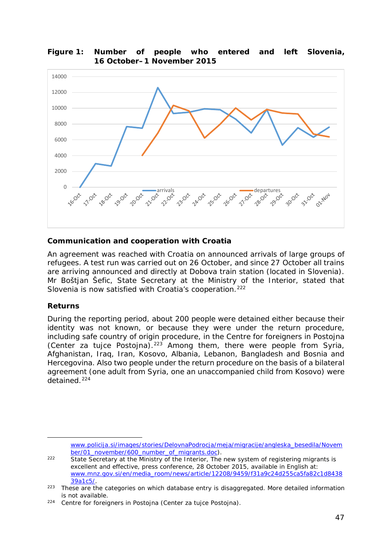

#### <span id="page-46-2"></span>**Figure 1: Number of people who entered and left Slovenia, 16 October–1 November 2015**

#### **Communication and cooperation with Croatia**

An agreement was reached with Croatia on announced arrivals of large groups of refugees. A test run was carried out on 26 October, and since 27 October all trains are arriving announced and directly at Dobova train station (located in Slovenia). Mr Boštjan Šefic, State Secretary at the Ministry of the Interior, stated that Slovenia is now satisfied with Croatia's cooperation.<sup>[222](#page-46-0)</sup>

#### **Returns**

-

During the reporting period, about 200 people were detained either because their identity was not known, or because they were under the return procedure, including safe country of origin procedure, in the Centre for foreigners in Postojna (*Center za tujce Postojna*).[223](#page-46-1) Among them, there were people from Syria, Afghanistan, Iraq, Iran, Kosovo, Albania, Lebanon, Bangladesh and Bosnia and Hercegovina. Also two people under the return procedure on the basis of a bilateral agreement (one adult from Syria, one an unaccompanied child from Kosovo) were detained.[224](#page-46-2)

[www.policija.si/images/stories/DelovnaPodrocja/meja/migracije/angleska\\_besedila/Novem](http://www.policija.si/images/stories/DelovnaPodrocja/meja/migracije/angleska_besedila/November/01_november/600_number_of_migrants.doc) [ber/01\\_november/600\\_number\\_of\\_migrants.doc\)](http://www.policija.si/images/stories/DelovnaPodrocja/meja/migracije/angleska_besedila/November/01_november/600_number_of_migrants.doc).

<span id="page-46-0"></span><sup>222</sup> State Secretary at the Ministry of the Interior, *The new system of registering migrants is excellent and effective*, press conference, 28 October 2015, available in English at: [www.mnz.gov.si/en/media\\_room/news/article/12208/9459/f31a9c24d255ca5fa82c1d8438](http://www.mnz.gov.si/en/media_room/news/article/12208/9459/f31a9c24d255ca5fa82c1d843839a1c5/) [39a1c5/.](http://www.mnz.gov.si/en/media_room/news/article/12208/9459/f31a9c24d255ca5fa82c1d843839a1c5/)

<span id="page-46-1"></span><sup>&</sup>lt;sup>223</sup> These are the categories on which database entry is disaggregated. More detailed information

is not available. 224 Centre for foreigners in Postojna (*Center za tujce Postojna*).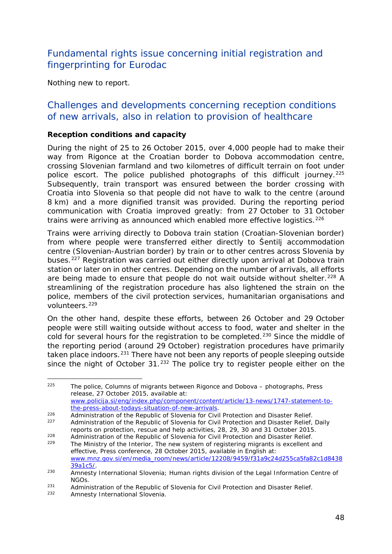## <span id="page-47-1"></span>Fundamental rights issue concerning initial registration and fingerprinting for Eurodac

Nothing new to report.

### Challenges and developments concerning reception conditions of new arrivals, also in relation to provision of healthcare

#### **Reception conditions and capacity**

During the night of 25 to 26 October 2015, over 4,000 people had to make their way from Rigonce at the Croatian border to Dobova accommodation centre, crossing Slovenian farmland and two kilometres of difficult terrain on foot under police escort. The police published photographs of this difficult journey.<sup>[225](#page-47-0)</sup> Subsequently, train transport was ensured between the border crossing with Croatia into Slovenia so that people did not have to walk to the centre (around 8 km) and a more dignified transit was provided. During the reporting period communication with Croatia improved greatly: from 27 October to 31 October trains were arriving as announced which enabled more effective logistics.<sup>[226](#page-47-1)</sup>

Trains were arriving directly to Dobova train station (Croatian-Slovenian border) from where people were transferred either directly to Šentilj accommodation centre (Slovenian-Austrian border) by train or to other centres across Slovenia by buses.[227](#page-47-2) Registration was carried out either directly upon arrival at Dobova train station or later on in other centres. Depending on the number of arrivals, all efforts are being made to ensure that people do not wait outside without shelter.<sup>[228](#page-47-1)</sup> A streamlining of the registration procedure has also lightened the strain on the police, members of the civil protection services, humanitarian organisations and volunteers.<sup>[229](#page-47-1)</sup>

On the other hand, despite these efforts, between 26 October and 29 October people were still waiting outside without access to food, water and shelter in the cold for several hours for the registration to be completed.<sup>[230](#page-47-3)</sup> Since the middle of the reporting period (around 29 October) registration procedures have primarily taken place indoors.<sup>[231](#page-47-1)</sup> There have not been any reports of people sleeping outside since the night of October  $31<sup>.232</sup>$  $31<sup>.232</sup>$  $31<sup>.232</sup>$  The police try to register people either on the

*effective*, Press conference, 28 October 2015, available in English at: [www.mnz.gov.si/en/media\\_room/news/article/12208/9459/f31a9c24d255ca5fa82c1d8438](http://www.mnz.gov.si/en/media_room/news/article/12208/9459/f31a9c24d255ca5fa82c1d843839a1c5/) [39a1c5/.](http://www.mnz.gov.si/en/media_room/news/article/12208/9459/f31a9c24d255ca5fa82c1d843839a1c5/)

Amnesty International Slovenia.

<span id="page-47-0"></span><sup>225</sup> The police, *Columns of migrants between Rigonce and Dobova – photographs*, Press release, 27 October 2015, available at: [www.policija.si/eng/index.php/component/content/article/13-news/1747-statement-to](http://www.policija.si/eng/index.php/component/content/article/13-news/1747-statement-to-the-press-about-todays-situation-of-new-arrivals)[the-press-about-todays-situation-of-new-arrivals.](http://www.policija.si/eng/index.php/component/content/article/13-news/1747-statement-to-the-press-about-todays-situation-of-new-arrivals)  $225$ 

<sup>&</sup>lt;sup>226</sup><br>Administration of the Republic of Slovenia for Civil Protection and Disaster Relief. <sup>227</sup> Administration of the Republic of Slovenia for Civil Protection and Disaster Relief, *Daily reports on protection, rescue and help activities,* 28, 29, 30 and 31 October 2015.

<span id="page-47-2"></span><sup>228</sup> Administration of the Republic of Slovenia for Civil Protection and Disaster Relief.<br>229 The Ministry of the Interior. The new system of registering migrants is excellent a The Ministry of the Interior, *The new system of registering migrants is excellent and* 

<span id="page-47-3"></span><sup>&</sup>lt;sup>230</sup> Amnesty International Slovenia; Human rights division of the Legal Information Centre of NGOs.

<sup>231</sup> Administration of the Republic of Slovenia for Civil Protection and Disaster Relief.<br>232 Amposty International Slovenia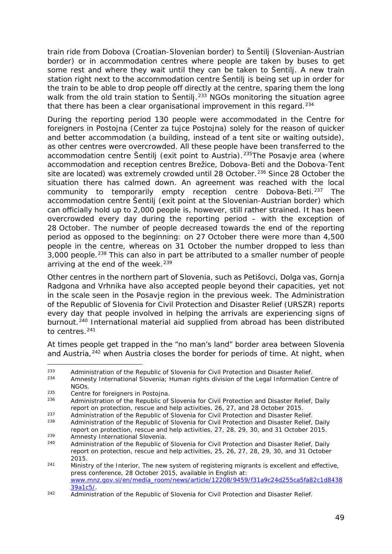<span id="page-48-3"></span>train ride from Dobova (Croatian-Slovenian border) to Šentilj (Slovenian-Austrian border) or in accommodation centres where people are taken by buses to get some rest and where they wait until they can be taken to Šentilj. A new train station right next to the accommodation centre Šentilj is being set up in order for the train to be able to drop people off directly at the centre, sparing them the long walk from the old train station to Šentilj.<sup>[233](#page-48-0)</sup> NGOs monitoring the situation agree that there has been a clear organisational improvement in this regard.<sup>[234](#page-48-1)</sup>

During the reporting period 130 people were accommodated in the Centre for foreigners in Postojna (*Center za tujce Postojna*) solely for the reason of quicker and better accommodation (a building, instead of a tent site or waiting outside), as other centres were overcrowded. All these people have been transferred to the accommodation centre Šentilj (exit point to Austria).<sup>[235](#page-48-2)</sup>The Posavje area (where accommodation and reception centres Brežice, Dobova-Beti and the Dobova-Tent site are located) was extremely crowded until 28 October.<sup>[236](#page-48-3)</sup> Since 28 October the situation there has calmed down. An agreement was reached with the local community to temporarily empty reception centre Dobova-Beti.<sup>[237](#page-48-3)</sup> The accommodation centre Šentilj (exit point at the Slovenian-Austrian border) which can officially hold up to 2,000 people is, however, still rather strained. It has been overcrowded every day during the reporting period – with the exception of 28 October. The number of people decreased towards the end of the reporting period as opposed to the beginning: on 27 October there were more than 4,500 people in the centre, whereas on 31 October the number dropped to less than 3,000 people.<sup>[238](#page-48-3)</sup> This can also in part be attributed to a smaller number of people arriving at the end of the week.<sup>[239](#page-48-3)</sup>

Other centres in the northern part of Slovenia, such as Petišovci, Dolga vas, Gornja Radgona and Vrhnika have also accepted people beyond their capacities, yet not in the scale seen in the Posavje region in the previous week. The Administration of the Republic of Slovenia for Civil Protection and Disaster Relief (*URSZR*) reports every day that people involved in helping the arrivals are experiencing signs of burnout.<sup>[240](#page-48-4)</sup> International material aid supplied from abroad has been distributed to centres.[241](#page-48-3)

At times people get trapped in the "no man's land" border area between Slovenia and Austria,<sup>[242](#page-48-5)</sup> when Austria closes the border for periods of time. At night, when

<span id="page-48-0"></span><sup>233</sup> Administration of the Republic of Slovenia for Civil Protection and Disaster Relief. 233

<span id="page-48-1"></span>Amnesty International Slovenia: Human rights division of the Legal Information Centre of NGOs.<br>Centre for foreigners in Postoina.

<span id="page-48-2"></span><sup>235</sup> Centre for foreigners in Postojna. 236 Administration of the Republic of Slovenia for Civil Protection and Disaster Relief, *Daily report on protection, rescue and help activities*, 26, 27, and 28 October 2015.

<sup>237</sup> Administration of the Republic of Slovenia for Civil Protection and Disaster Relief.<br>238 Administration of the Republic of Slovenia for Civil Protection and Disaster Relief.

<sup>238</sup> Administration of the Republic of Slovenia for Civil Protection and Disaster Relief, *Daily report on protection, rescue and help activities*, 27, 28, 29, 30, and 31 October 2015.

<span id="page-48-4"></span><sup>&</sup>lt;sup>239</sup> Amnesty International Slovenia.<br>240 Administration of the Benublic of <sup>240</sup> Administration of the Republic of Slovenia for Civil Protection and Disaster Relief, *Daily report on protection, rescue and help activities*, 25, 26, 27, 28, 29, 30, and 31 October 2015.

<sup>241</sup> Ministry of the Interior, *The new system of registering migrants is excellent and effective*, press conference, 28 October 2015, available in English at: [www.mnz.gov.si/en/media\\_room/news/article/12208/9459/f31a9c24d255ca5fa82c1d8438](http://www.mnz.gov.si/en/media_room/news/article/12208/9459/f31a9c24d255ca5fa82c1d843839a1c5/) [39a1c5/.](http://www.mnz.gov.si/en/media_room/news/article/12208/9459/f31a9c24d255ca5fa82c1d843839a1c5/)

<span id="page-48-5"></span><sup>&</sup>lt;sup>242</sup> Administration of the Republic of Slovenia for Civil Protection and Disaster Relief.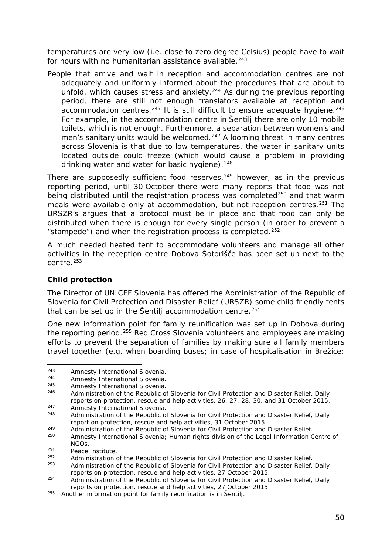<span id="page-49-2"></span>temperatures are very low (i.e. close to zero degree Celsius) people have to wait for hours with no humanitarian assistance available.<sup>[243](#page-49-0)</sup>

People that arrive and wait in reception and accommodation centres are not adequately and uniformly informed about the procedures that are about to unfold, which causes stress and anxiety.<sup>[244](#page-49-1)</sup> As during the previous reporting period, there are still not enough translators available at reception and  $accommodation$  centres.<sup>[245](#page-49-2)</sup> It is still difficult to ensure adequate hygiene.<sup>[246](#page-49-2)</sup> For example, in the accommodation centre in Šentilj there are only 10 mobile toilets, which is not enough. Furthermore, a separation between women's and men's sanitary units would be welcomed.<sup>[247](#page-49-2)</sup> A looming threat in many centres across Slovenia is that due to low temperatures, the water in sanitary units located outside could freeze (which would cause a problem in providing drinking water and water for basic hygiene).  $248$ 

There are supposedly sufficient food reserves,  $249$  however, as in the previous reporting period, until 30 October there were many reports that food was not being distributed until the registration process was completed $250$  and that warm meals were available only at accommodation, but not reception centres.<sup>[251](#page-49-2)</sup> The *URSZR*'s argues that a protocol must be in place and that food can only be distributed when there is enough for every single person (in order to prevent a "stampede") and when the registration process is completed.[252](#page-49-2)

A much needed heated tent to accommodate volunteers and manage all other activities in the reception centre Dobova Šotorišče has been set up next to the  $centr<sub>P</sub>$ <sup>[253](#page-49-4)</sup>

#### **Child protection**

The Director of UNICEF Slovenia has offered the Administration of the Republic of Slovenia for Civil Protection and Disaster Relief (*URSZR)* some child friendly tents that can be set up in the Šentilj accommodation centre.<sup>[254](#page-49-5)</sup>

One new information point for family reunification was set up in Dobova during the reporting period.<sup>[255](#page-49-6)</sup> Red Cross Slovenia volunteers and employees are making efforts to prevent the separation of families by making sure all family members travel together (e.g. when boarding buses; in case of hospitalisation in Brežice:

<span id="page-49-0"></span><sup>243</sup> Amnesty International Slovenia.<br>244 Amnesty International Slovenia  $243$ 

<span id="page-49-1"></span><sup>244</sup> Amnesty International Slovenia.<br>245 American International Slovenia

<sup>&</sup>lt;sup>245</sup> Amnesty International Slovenia.<br><sup>246</sup> Administration of the Penublic of

<sup>246</sup> Administration of the Republic of Slovenia for Civil Protection and Disaster Relief, *Daily reports on protection, rescue and help activities*, 26, 27, 28, 30, and 31 October 2015. 247 Amnesty International Slovenia.<br>248 Administration of the Bonublic of

<sup>248</sup> Administration of the Republic of Slovenia for Civil Protection and Disaster Relief, *Daily report on protection, rescue and help activities*, 31 October 2015.

<span id="page-49-3"></span><sup>249</sup> Administration of the Republic of Slovenia for Civil Protection and Disaster Relief.

Amnesty International Slovenia: Human rights division of the Legal Information Centre of NGOs.

 $251$  Peace Institute.

<sup>&</sup>lt;sup>252</sup> Administration of the Republic of Slovenia for Civil Protection and Disaster Relief.<br><sup>253</sup> Administration of the Republic of Slovenia for Civil Protection and Disaster Policf.

<span id="page-49-4"></span><sup>253</sup> Administration of the Republic of Slovenia for Civil Protection and Disaster Relief, *Daily reports on protection, rescue and help activities*, 27 October 2015.

<span id="page-49-5"></span><sup>254</sup> Administration of the Republic of Slovenia for Civil Protection and Disaster Relief, *Daily reports on protection, rescue and help activities*, 27 October 2015.

<span id="page-49-6"></span><sup>&</sup>lt;sup>255</sup> Another information point for family reunification is in Šentilj.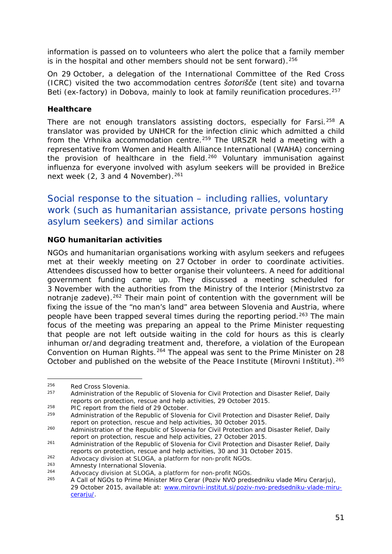<span id="page-50-3"></span>information is passed on to volunteers who alert the police that a family member is in the hospital and other members should not be sent forward).<sup>[256](#page-50-0)</sup>

On 29 October, a delegation of the International Committee of the Red Cross (ICRC) visited the two accommodation centres *šotorišče* (tent site) and *tovarna Beti* (ex-factory) in Dobova, mainly to look at family reunification procedures.<sup>[257](#page-50-1)</sup>

#### **Healthcare**

There are not enough translators assisting doctors, especially for Farsi.<sup>[258](#page-50-2)</sup> A translator was provided by UNHCR for the infection clinic which admitted a child from the Vrhnika accommodation centre.[259](#page-50-3) The *URSZR* held a meeting with a representative from Women and Health Alliance International (WAHA) concerning the provision of healthcare in the field.<sup>[260](#page-50-3)</sup> Voluntary immunisation against influenza for everyone involved with asylum seekers will be provided in Brežice next week  $(2, 3 \text{ and } 4 \text{ November})$ . <sup>[261](#page-50-3)</sup>

## Social response to the situation – including rallies, voluntary work (such as humanitarian assistance, private persons hosting asylum seekers) and similar actions

#### **NGO humanitarian activities**

NGOs and humanitarian organisations working with asylum seekers and refugees met at their weekly meeting on 27 October in order to coordinate activities. Attendees discussed how to better organise their volunteers. A need for additional government funding came up. They discussed a meeting scheduled for 3 November with the authorities from the Ministry of the Interior (*Ministrstvo za notranje zadeve*).<sup>[262](#page-50-4)</sup> Their main point of contention with the government will be fixing the issue of the "no man's land" area between Slovenia and Austria, where people have been trapped several times during the reporting period.[263](#page-50-3) The main focus of the meeting was preparing an appeal to the Prime Minister requesting that people are not left outside waiting in the cold for hours as this is clearly inhuman or/and degrading treatment and, therefore, a violation of the European Convention on Human Rights.<sup>[264](#page-50-3)</sup> The appeal was sent to the Prime Minister on 28 October and published on the website of the Peace Institute (*Mirovni Inštitut*).[265](#page-50-3)

-

<span id="page-50-0"></span> $256$  Red Cross Slovenia.

<span id="page-50-1"></span><sup>257</sup> Administration of the Republic of Slovenia for Civil Protection and Disaster Relief, *Daily reports on protection, rescue and help activities,* 29 October 2015.

<span id="page-50-2"></span><sup>258</sup> PIC report from the field of 29 October. 259 Administration of the Republic of Slovenia for Civil Protection and Disaster Relief, *Daily report on protection, rescue and help activities,* 30 October 2015.

<sup>260</sup> Administration of the Republic of Slovenia for Civil Protection and Disaster Relief, *Daily report on protection, rescue and help activities,* 27 October 2015.

<sup>261</sup> Administration of the Republic of Slovenia for Civil Protection and Disaster Relief, *Daily reports on protection, rescue and help activities,* 30 and 31 October 2015.

<span id="page-50-4"></span><sup>262</sup> Advocacy division at SLOGA, a platform for non-profit NGOs.

<sup>263</sup> Amnesty International Slovenia.<br>264 Advessey division at SLOCA a.p.

<sup>264</sup> Advocacy division at SLOGA, a platform for non-profit NGOs.<br>265 A Call of NGOs to Prime Minister Mire Corar (Poziu NVO prod <sup>265</sup> A Call of NGOs to Prime Minister Miro Cerar (*Poziv NVO predsedniku vlade Miru Cerarju*), 29 October 2015, available at: [www.mirovni-institut.si/poziv-nvo-predsedniku-vlade-miru](http://www.mirovni-institut.si/poziv-nvo-predsedniku-vlade-miru-cerarju/)[cerarju/.](http://www.mirovni-institut.si/poziv-nvo-predsedniku-vlade-miru-cerarju/)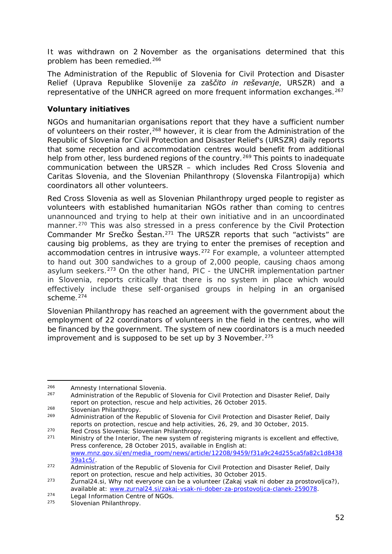<span id="page-51-3"></span>It was withdrawn on 2 November as the organisations determined that this problem has been remedied.<sup>[266](#page-51-0)</sup>

The Administration of the Republic of Slovenia for Civil Protection and Disaster Relief (*Uprava Republike Slovenije za zaščito in reševanje*, *URSZR*) and a representative of the UNHCR agreed on more frequent information exchanges.<sup>[267](#page-51-1)</sup>

#### **Voluntary initiatives**

NGOs and humanitarian organisations report that they have a sufficient number of volunteers on their roster,<sup>[268](#page-51-2)</sup> however, it is clear from the Administration of the Republic of Slovenia for Civil Protection and Disaster Relief's (*URSZR)* daily reports that some reception and accommodation centres would benefit from additional help from other, less burdened regions of the country.<sup>[269](#page-51-3)</sup> This points to inadequate communication between the *URSZR* – which includes Red Cross Slovenia and Caritas Slovenia, and the Slovenian Philanthropy (*Slovenska Filantropija*) which coordinators all other volunteers.

Red Cross Slovenia as well as Slovenian Philanthropy urged people to register as volunteers with established humanitarian NGOs rather than coming to centres unannounced and trying to help at their own initiative and in an uncoordinated manner.<sup>[270](#page-51-4)</sup> This was also stressed in a press conference by the Civil Protection Commander Mr Srečko Šestan.[271](#page-51-3) The *URSZR* reports that such "activists" are causing big problems, as they are trying to enter the premises of reception and accommodation centres in intrusive ways.[272](#page-51-3) For example, a volunteer attempted to hand out 300 sandwiches to a group of 2,000 people, causing chaos among asylum seekers.[273](#page-51-3) On the other hand, *PIC* - the UNCHR implementation partner in Slovenia, reports critically that there is no system in place which would effectively include these self-organised groups in helping in an organised scheme $274$ 

Slovenian Philanthropy has reached an agreement with the government about the employment of 22 coordinators of volunteers in the field in the centres, who will be financed by the government. The system of new coordinators is a much needed improvement and is supposed to be set up by 3 November.  $275$ 

<span id="page-51-0"></span><sup>266</sup> Amnesty International Slovenia.<br>267 Administration of the Benublic of 266

<span id="page-51-1"></span><sup>267</sup> Administration of the Republic of Slovenia for Civil Protection and Disaster Relief, *Daily report on protection, rescue and help activities,* 26 October 2015.

<span id="page-51-2"></span> $^{268}$  Slovenian Philanthropy.

<sup>269</sup> Administration of the Republic of Slovenia for Civil Protection and Disaster Relief, *Daily reports on protection, rescue and help activities*, 26, 29, and 30 October, 2015.

<span id="page-51-4"></span><sup>&</sup>lt;sup>270</sup> Red Cross Slovenia; Slovenian Philanthropy.<br><sup>271</sup> Ministry of the Interior. The new system of r

<sup>271</sup> Ministry of the Interior, *The new system of registering migrants is excellent and effective*, Press conference, 28 October 2015, available in English at: [www.mnz.gov.si/en/media\\_room/news/article/12208/9459/f31a9c24d255ca5fa82c1d8438](http://www.mnz.gov.si/en/media_room/news/article/12208/9459/f31a9c24d255ca5fa82c1d843839a1c5/) [39a1c5/.](http://www.mnz.gov.si/en/media_room/news/article/12208/9459/f31a9c24d255ca5fa82c1d843839a1c5/)

<sup>272</sup> Administration of the Republic of Slovenia for Civil Protection and Disaster Relief, *Daily report on protection, rescue and help activities,* 30 October 2015.

<sup>273</sup> Žurnal24.si, Why not everyone can be a volunteer (*Zakaj vsak ni dober za prostovoljca?*), available at: [www.zurnal24.si/zakaj-vsak-ni-dober-za-prostovoljca-clanek-259078.](http://www.zurnal24.si/zakaj-vsak-ni-dober-za-prostovoljca-clanek-259078)

<sup>274</sup> Legal Information Centre of NGOs. 275 Slovenian Philanthropy.

<span id="page-51-5"></span>